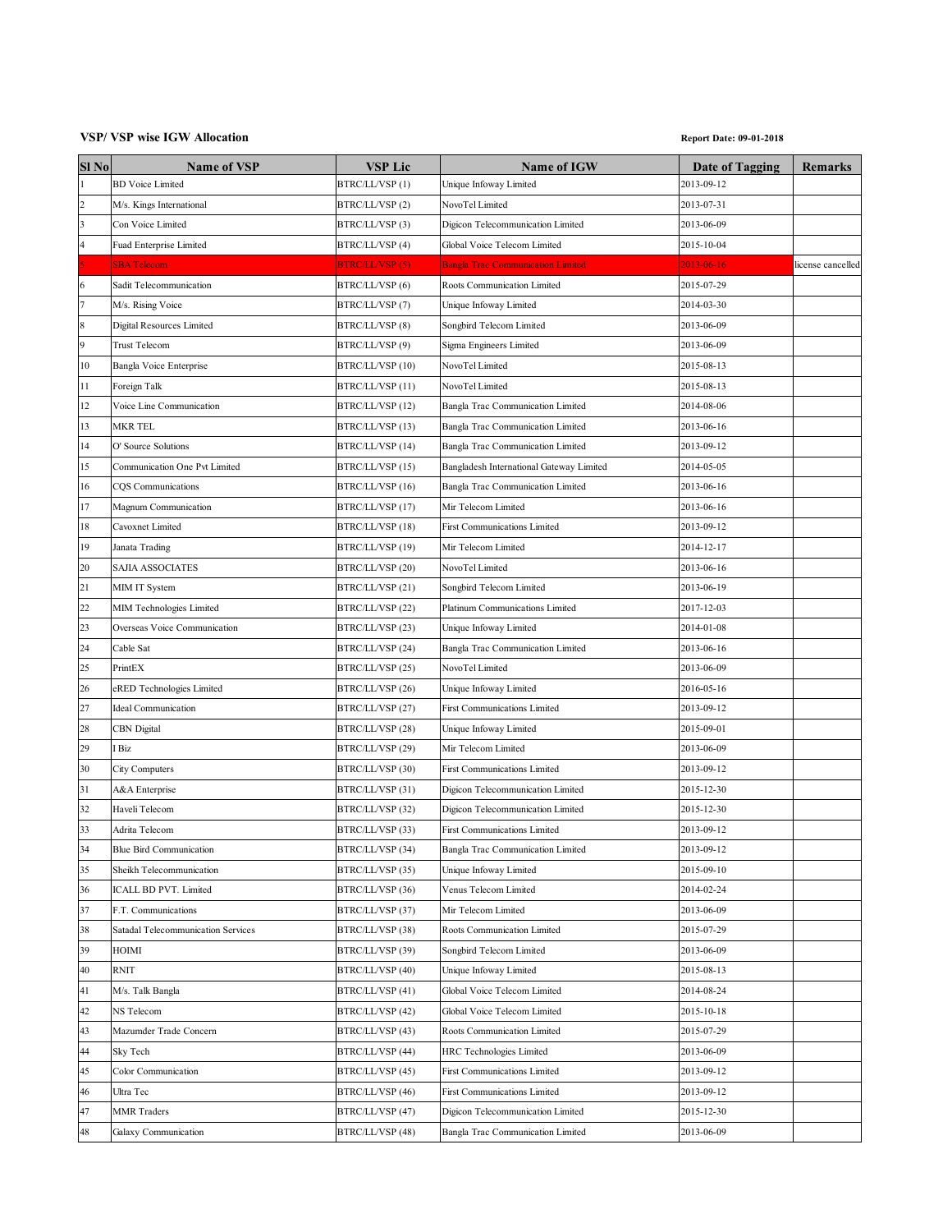## **VSP/ VSP wise IGW Allocation Report Date: 09-01-2018**

| Sl <sub>No</sub> | <b>Name of VSP</b>                 | VSP Lic                | <b>Name of IGW</b>                       | <b>Date of Tagging</b> | <b>Remarks</b>    |
|------------------|------------------------------------|------------------------|------------------------------------------|------------------------|-------------------|
| $\mathbf{1}$     | <b>BD</b> Voice Limited            | BTRC/LL/VSP(1)         | Unique Infoway Limited                   | 2013-09-12             |                   |
| $\overline{2}$   | M/s. Kings International           | BTRC/LL/VSP (2)        | NovoTel Limited                          | 2013-07-31             |                   |
| 3                | Con Voice Limited                  | BTRC/LL/VSP (3)        | Digicon Telecommunication Limited        | 2013-06-09             |                   |
| 4                | <b>Fuad Enterprise Limited</b>     | BTRC/LL/VSP (4)        | Global Voice Telecom Limited             | 2015-10-04             |                   |
|                  | <b>SBA Telecom</b>                 | <b>BTRC/LL/VSP (5)</b> | <b>Bangla Trac Communication Limited</b> | 2013-06-16             | license cancelled |
| 6                | Sadit Telecommunication            | BTRC/LL/VSP (6)        | Roots Communication Limited              | 2015-07-29             |                   |
| 7                | M/s. Rising Voice                  | BTRC/LL/VSP (7)        | Unique Infoway Limited                   | 2014-03-30             |                   |
| 8                | Digital Resources Limited          | BTRC/LL/VSP (8)        | Songbird Telecom Limited                 | 2013-06-09             |                   |
| 9                | <b>Trust Telecom</b>               | BTRC/LL/VSP (9)        | Sigma Engineers Limited                  | 2013-06-09             |                   |
| 10               | Bangla Voice Enterprise            | BTRC/LL/VSP (10)       | NovoTel Limited                          | 2015-08-13             |                   |
| 11               | Foreign Talk                       | BTRC/LL/VSP (11)       | NovoTel Limited                          | 2015-08-13             |                   |
| 12               | Voice Line Communication           | BTRC/LL/VSP (12)       | Bangla Trac Communication Limited        | 2014-08-06             |                   |
| 13               | MKR TEL                            | BTRC/LL/VSP (13)       | Bangla Trac Communication Limited        | 2013-06-16             |                   |
| 14               | O' Source Solutions                | BTRC/LL/VSP (14)       | Bangla Trac Communication Limited        | 2013-09-12             |                   |
| 15               | Communication One Pvt Limited      | BTRC/LL/VSP (15)       | Bangladesh International Gateway Limited | 2014-05-05             |                   |
| 16               | CQS Communications                 | BTRC/LL/VSP (16)       | Bangla Trac Communication Limited        | 2013-06-16             |                   |
| 17               | Magnum Communication               | BTRC/LL/VSP (17)       | Mir Telecom Limited                      | 2013-06-16             |                   |
| 18               | Cavoxnet Limited                   | BTRC/LL/VSP (18)       | First Communications Limited             | 2013-09-12             |                   |
| 19               | Janata Trading                     | BTRC/LL/VSP (19)       | Mir Telecom Limited                      | 2014-12-17             |                   |
| 20               | SAJIA ASSOCIATES                   | BTRC/LL/VSP (20)       | NovoTel Limited                          | 2013-06-16             |                   |
| 21               | MIM IT System                      | BTRC/LL/VSP (21)       | Songbird Telecom Limited                 | 2013-06-19             |                   |
| 22               | MIM Technologies Limited           | BTRC/LL/VSP (22)       | Platinum Communications Limited          | 2017-12-03             |                   |
| 23               | Overseas Voice Communication       | BTRC/LL/VSP (23)       | Unique Infoway Limited                   | 2014-01-08             |                   |
| 24               | Cable Sat                          | BTRC/LL/VSP (24)       | Bangla Trac Communication Limited        | 2013-06-16             |                   |
| 25               | PrintEX                            | BTRC/LL/VSP (25)       | NovoTel Limited                          | 2013-06-09             |                   |
| 26               | eRED Technologies Limited          | BTRC/LL/VSP (26)       | Unique Infoway Limited                   | 2016-05-16             |                   |
| 27               | Ideal Communication                | BTRC/LL/VSP (27)       | First Communications Limited             | 2013-09-12             |                   |
| 28               | CBN Digital                        | BTRC/LL/VSP (28)       | Unique Infoway Limited                   | 2015-09-01             |                   |
| 29               | Biz                                | BTRC/LL/VSP (29)       | Mir Telecom Limited                      | 2013-06-09             |                   |
| 30               | City Computers                     | BTRC/LL/VSP (30)       | <b>First Communications Limited</b>      | 2013-09-12             |                   |
| 31               | A&A Enterprise                     | BTRC/LL/VSP (31)       | Digicon Telecommunication Limited        | 2015-12-30             |                   |
| 32               | Haveli Telecom                     | BTRC/LL/VSP (32)       | Digicon Telecommunication Limited        | 2015-12-30             |                   |
| 33               | Adrita Telecom                     | BTRC/LL/VSP (33)       | First Communications Limited             | 2013-09-12             |                   |
| 34               | <b>Blue Bird Communication</b>     | BTRC/LL/VSP (34)       | Bangla Trac Communication Limited        | 2013-09-12             |                   |
| 35               | Sheikh Telecommunication           | BTRC/LL/VSP (35)       | Unique Infoway Limited                   | 2015-09-10             |                   |
| 36               | ICALL BD PVT. Limited              | BTRC/LL/VSP (36)       | Venus Telecom Limited                    | 2014-02-24             |                   |
| 37               | F.T. Communications                | BTRC/LL/VSP (37)       | Mir Telecom Limited                      | 2013-06-09             |                   |
| 38               | Satadal Telecommunication Services | BTRC/LL/VSP (38)       | Roots Communication Limited              | 2015-07-29             |                   |
| 39               | HOIMI                              | BTRC/LL/VSP (39)       | Songbird Telecom Limited                 | 2013-06-09             |                   |
| 40               | <b>RNIT</b>                        | BTRC/LL/VSP (40)       | Unique Infoway Limited                   | 2015-08-13             |                   |
| 41               | M/s. Talk Bangla                   | BTRC/LL/VSP (41)       | Global Voice Telecom Limited             | 2014-08-24             |                   |
| 42               | NS Telecom                         | BTRC/LL/VSP (42)       | Global Voice Telecom Limited             | 2015-10-18             |                   |
| 43               | Mazumder Trade Concern             | BTRC/LL/VSP (43)       | Roots Communication Limited              | 2015-07-29             |                   |
| 44               | Sky Tech                           | BTRC/LL/VSP (44)       | HRC Technologies Limited                 | 2013-06-09             |                   |
| 45               | Color Communication                | BTRC/LL/VSP (45)       | First Communications Limited             | 2013-09-12             |                   |
| 46               | Ultra Tec                          | BTRC/LL/VSP (46)       | First Communications Limited             | 2013-09-12             |                   |
| 47               | <b>MMR</b> Traders                 | BTRC/LL/VSP (47)       | Digicon Telecommunication Limited        | 2015-12-30             |                   |
| 48               | Galaxy Communication               | BTRC/LL/VSP (48)       | Bangla Trac Communication Limited        | 2013-06-09             |                   |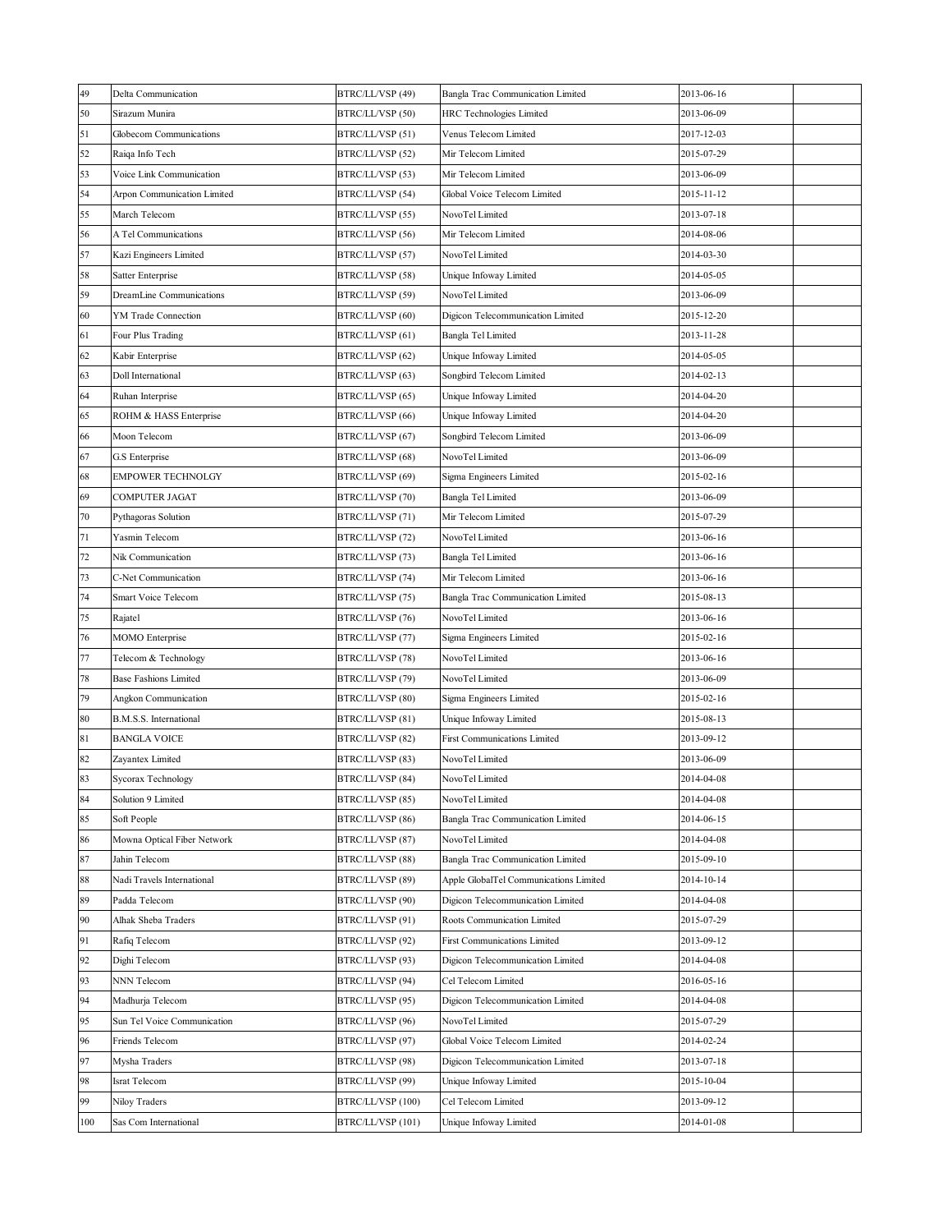| 49  | Delta Communication          | BTRC/LL/VSP (49)  | Bangla Trac Communication Limited      | 2013-06-16 |  |
|-----|------------------------------|-------------------|----------------------------------------|------------|--|
| 50  | Sirazum Munira               | BTRC/LL/VSP (50)  | HRC Technologies Limited               | 2013-06-09 |  |
| 51  | Globecom Communications      | BTRC/LL/VSP (51)  | Venus Telecom Limited                  | 2017-12-03 |  |
| 52  | Raiqa Info Tech              | BTRC/LL/VSP (52)  | Mir Telecom Limited                    | 2015-07-29 |  |
| 53  | Voice Link Communication     | BTRC/LL/VSP (53)  | Mir Telecom Limited                    | 2013-06-09 |  |
| 54  | Arpon Communication Limited  | BTRC/LL/VSP (54)  | Global Voice Telecom Limited           | 2015-11-12 |  |
| 55  | March Telecom                | BTRC/LL/VSP (55)  | NovoTel Limited                        | 2013-07-18 |  |
| 56  | A Tel Communications         | BTRC/LL/VSP (56)  | Mir Telecom Limited                    | 2014-08-06 |  |
| 57  | Kazi Engineers Limited       | BTRC/LL/VSP (57)  | NovoTel Limited                        | 2014-03-30 |  |
| 58  | Satter Enterprise            | BTRC/LL/VSP (58)  | Unique Infoway Limited                 | 2014-05-05 |  |
| 59  | DreamLine Communications     | BTRC/LL/VSP (59)  | NovoTel Limited                        | 2013-06-09 |  |
| 60  | YM Trade Connection          | BTRC/LL/VSP (60)  | Digicon Telecommunication Limited      | 2015-12-20 |  |
| 61  | Four Plus Trading            | BTRC/LL/VSP (61)  | Bangla Tel Limited                     | 2013-11-28 |  |
| 62  | Kabir Enterprise             | BTRC/LL/VSP (62)  | Unique Infoway Limited                 | 2014-05-05 |  |
| 63  | Doll International           | BTRC/LL/VSP (63)  | Songbird Telecom Limited               | 2014-02-13 |  |
| 64  | Ruhan Interprise             | BTRC/LL/VSP (65)  | Unique Infoway Limited                 | 2014-04-20 |  |
| 65  | ROHM & HASS Enterprise       | BTRC/LL/VSP (66)  | Unique Infoway Limited                 | 2014-04-20 |  |
| 66  | Moon Telecom                 | BTRC/LL/VSP (67)  | Songbird Telecom Limited               | 2013-06-09 |  |
| 67  | G.S Enterprise               | BTRC/LL/VSP (68)  | NovoTel Limited                        | 2013-06-09 |  |
| 68  | <b>EMPOWER TECHNOLGY</b>     | BTRC/LL/VSP (69)  | Sigma Engineers Limited                | 2015-02-16 |  |
| 69  | COMPUTER JAGAT               | BTRC/LL/VSP (70)  | Bangla Tel Limited                     | 2013-06-09 |  |
| 70  | Pythagoras Solution          | BTRC/LL/VSP (71)  | Mir Telecom Limited                    | 2015-07-29 |  |
| 71  | Yasmin Telecom               | BTRC/LL/VSP (72)  | NovoTel Limited                        | 2013-06-16 |  |
| 72  | Nik Communication            | BTRC/LL/VSP (73)  | Bangla Tel Limited                     | 2013-06-16 |  |
| 73  | C-Net Communication          | BTRC/LL/VSP (74)  | Mir Telecom Limited                    | 2013-06-16 |  |
| 74  | Smart Voice Telecom          | BTRC/LL/VSP (75)  | Bangla Trac Communication Limited      | 2015-08-13 |  |
| 75  | Rajatel                      | BTRC/LL/VSP (76)  | NovoTel Limited                        | 2013-06-16 |  |
| 76  | MOMO Enterprise              | BTRC/LL/VSP (77)  | Sigma Engineers Limited                | 2015-02-16 |  |
| 77  | Telecom & Technology         | BTRC/LL/VSP (78)  | NovoTel Limited                        | 2013-06-16 |  |
| 78  | <b>Base Fashions Limited</b> | BTRC/LL/VSP (79)  | NovoTel Limited                        | 2013-06-09 |  |
| 79  | Angkon Communication         | BTRC/LL/VSP (80)  | Sigma Engineers Limited                | 2015-02-16 |  |
| 80  | B.M.S.S. International       | BTRC/LL/VSP (81)  | Unique Infoway Limited                 | 2015-08-13 |  |
| 81  | <b>BANGLA VOICE</b>          | BTRC/LL/VSP (82)  | <b>First Communications Limited</b>    | 2013-09-12 |  |
| 82  | Zayantex Limited             | BTRC/LL/VSP (83)  | NovoTel Limited                        | 2013-06-09 |  |
| 83  | Sycorax Technology           | BTRC/LL/VSP (84)  | NovoTel Limited                        | 2014-04-08 |  |
| 84  | Solution 9 Limited           | BTRC/LL/VSP (85)  | NovoTel Limited                        | 2014-04-08 |  |
| 85  | Soft People                  | BTRC/LL/VSP (86)  | Bangla Trac Communication Limited      | 2014-06-15 |  |
| 86  | Mowna Optical Fiber Network  | BTRC/LL/VSP (87)  | NovoTel Limited                        | 2014-04-08 |  |
| 87  | Jahin Telecom                | BTRC/LL/VSP (88)  | Bangla Trac Communication Limited      | 2015-09-10 |  |
| 88  | Nadi Travels International   | BTRC/LL/VSP (89)  | Apple GlobalTel Communications Limited | 2014-10-14 |  |
| 89  | Padda Telecom                | BTRC/LL/VSP (90)  | Digicon Telecommunication Limited      | 2014-04-08 |  |
| 90  | Alhak Sheba Traders          | BTRC/LL/VSP (91)  | Roots Communication Limited            | 2015-07-29 |  |
| 91  | Rafiq Telecom                | BTRC/LL/VSP (92)  | <b>First Communications Limited</b>    | 2013-09-12 |  |
| 92  | Dighi Telecom                | BTRC/LL/VSP (93)  | Digicon Telecommunication Limited      | 2014-04-08 |  |
| 93  | NNN Telecom                  | BTRC/LL/VSP (94)  | Cel Telecom Limited                    | 2016-05-16 |  |
| 94  | Madhurja Telecom             | BTRC/LL/VSP (95)  | Digicon Telecommunication Limited      | 2014-04-08 |  |
| 95  | Sun Tel Voice Communication  | BTRC/LL/VSP (96)  | NovoTel Limited                        | 2015-07-29 |  |
| 96  | Friends Telecom              | BTRC/LL/VSP (97)  | Global Voice Telecom Limited           | 2014-02-24 |  |
| 97  | Mysha Traders                | BTRC/LL/VSP (98)  | Digicon Telecommunication Limited      | 2013-07-18 |  |
| 98  | Israt Telecom                | BTRC/LL/VSP (99)  | Unique Infoway Limited                 | 2015-10-04 |  |
| 99  | Niloy Traders                | BTRC/LL/VSP (100) | Cel Telecom Limited                    | 2013-09-12 |  |
| 100 | Sas Com International        | BTRC/LL/VSP (101) | Unique Infoway Limited                 | 2014-01-08 |  |
|     |                              |                   |                                        |            |  |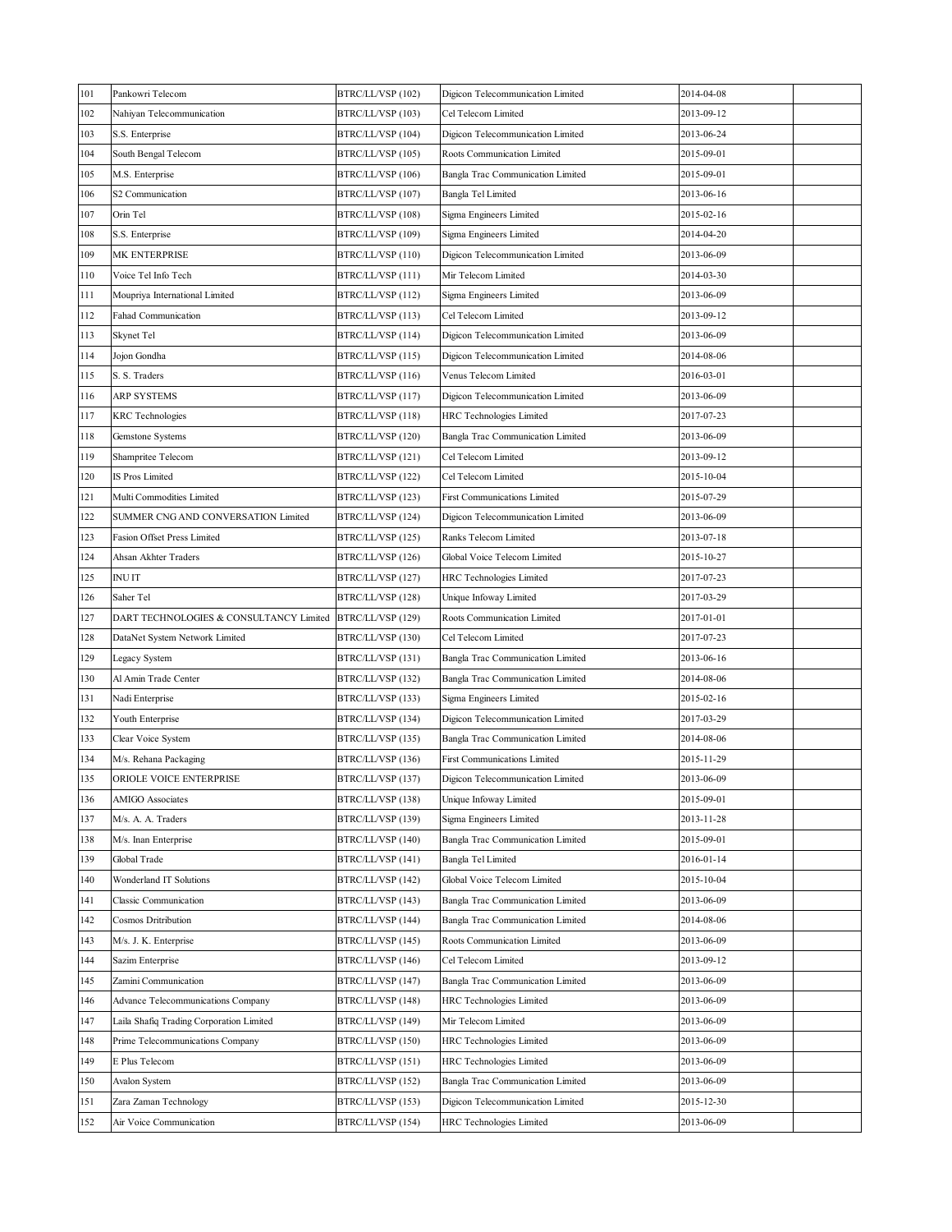| 101 | Pankowri Telecom                         | BTRC/LL/VSP (102) | Digicon Telecommunication Limited   | 2014-04-08 |  |
|-----|------------------------------------------|-------------------|-------------------------------------|------------|--|
| 102 | Nahiyan Telecommunication                | BTRC/LL/VSP (103) | Cel Telecom Limited                 | 2013-09-12 |  |
| 103 | S.S. Enterprise                          | BTRC/LL/VSP (104) | Digicon Telecommunication Limited   | 2013-06-24 |  |
| 104 | South Bengal Telecom                     | BTRC/LL/VSP (105) | Roots Communication Limited         | 2015-09-01 |  |
| 105 | M.S. Enterprise                          | BTRC/LL/VSP (106) | Bangla Trac Communication Limited   | 2015-09-01 |  |
| 106 | S2 Communication                         | BTRC/LL/VSP (107) | Bangla Tel Limited                  | 2013-06-16 |  |
| 107 | Orin Tel                                 | BTRC/LL/VSP (108) | Sigma Engineers Limited             | 2015-02-16 |  |
| 108 | S.S. Enterprise                          | BTRC/LL/VSP (109) | Sigma Engineers Limited             | 2014-04-20 |  |
| 109 | MK ENTERPRISE                            | BTRC/LL/VSP (110) | Digicon Telecommunication Limited   | 2013-06-09 |  |
| 110 | Voice Tel Info Tech                      | BTRC/LL/VSP (111) | Mir Telecom Limited                 | 2014-03-30 |  |
| 111 | Moupriya International Limited           | BTRC/LL/VSP (112) | Sigma Engineers Limited             | 2013-06-09 |  |
| 112 | Fahad Communication                      | BTRC/LL/VSP (113) | Cel Telecom Limited                 | 2013-09-12 |  |
| 113 | Skynet Tel                               | BTRC/LL/VSP (114) | Digicon Telecommunication Limited   | 2013-06-09 |  |
| 114 | Jojon Gondha                             | BTRC/LL/VSP (115) | Digicon Telecommunication Limited   | 2014-08-06 |  |
| 115 | S. S. Traders                            | BTRC/LL/VSP (116) | Venus Telecom Limited               | 2016-03-01 |  |
| 116 | ARP SYSTEMS                              | BTRC/LL/VSP (117) | Digicon Telecommunication Limited   | 2013-06-09 |  |
| 117 | <b>KRC</b> Technologies                  | BTRC/LL/VSP (118) | HRC Technologies Limited            | 2017-07-23 |  |
| 118 | Gemstone Systems                         | BTRC/LL/VSP (120) | Bangla Trac Communication Limited   | 2013-06-09 |  |
| 119 | Shampritee Telecom                       | BTRC/LL/VSP (121) | Cel Telecom Limited                 | 2013-09-12 |  |
| 120 | IS Pros Limited                          | BTRC/LL/VSP (122) | Cel Telecom Limited                 | 2015-10-04 |  |
| 121 | Multi Commodities Limited                | BTRC/LL/VSP (123) | <b>First Communications Limited</b> | 2015-07-29 |  |
| 122 | SUMMER CNG AND CONVERSATION Limited      | BTRC/LL/VSP (124) | Digicon Telecommunication Limited   | 2013-06-09 |  |
| 123 | Fasion Offset Press Limited              | BTRC/LL/VSP (125) | Ranks Telecom Limited               | 2013-07-18 |  |
| 124 | Ahsan Akhter Traders                     | BTRC/LL/VSP (126) | Global Voice Telecom Limited        | 2015-10-27 |  |
| 125 | <b>INUIT</b>                             | BTRC/LL/VSP (127) | HRC Technologies Limited            | 2017-07-23 |  |
| 126 | Saher Tel                                | BTRC/LL/VSP (128) | Unique Infoway Limited              | 2017-03-29 |  |
| 127 | DART TECHNOLOGIES & CONSULTANCY Limited  | BTRC/LL/VSP (129) | Roots Communication Limited         | 2017-01-01 |  |
| 128 | DataNet System Network Limited           | BTRC/LL/VSP (130) | Cel Telecom Limited                 | 2017-07-23 |  |
| 129 | Legacy System                            | BTRC/LL/VSP (131) | Bangla Trac Communication Limited   | 2013-06-16 |  |
| 130 | Al Amin Trade Center                     | BTRC/LL/VSP (132) | Bangla Trac Communication Limited   | 2014-08-06 |  |
| 131 | Nadi Enterprise                          | BTRC/LL/VSP (133) | Sigma Engineers Limited             | 2015-02-16 |  |
| 132 | Youth Enterprise                         | BTRC/LL/VSP (134) | Digicon Telecommunication Limited   | 2017-03-29 |  |
| 133 | Clear Voice System                       | BTRC/LL/VSP (135) | Bangla Trac Communication Limited   | 2014-08-06 |  |
| 134 | M/s. Rehana Packaging                    | BTRC/LL/VSP (136) | <b>First Communications Limited</b> | 2015-11-29 |  |
| 135 | ORIOLE VOICE ENTERPRISE                  | BTRC/LL/VSP (137) | Digicon Telecommunication Limited   | 2013-06-09 |  |
| 136 | AMIGO Associates                         | BTRC/LL/VSP (138) | Unique Infoway Limited              | 2015-09-01 |  |
| 137 | M/s. A. A. Traders                       | BTRC/LL/VSP (139) | Sigma Engineers Limited             | 2013-11-28 |  |
| 138 | M/s. Inan Enterprise                     | BTRC/LL/VSP (140) | Bangla Trac Communication Limited   | 2015-09-01 |  |
| 139 | Global Trade                             | BTRC/LL/VSP (141) | Bangla Tel Limited                  | 2016-01-14 |  |
| 140 | Wonderland IT Solutions                  | BTRC/LL/VSP (142) | Global Voice Telecom Limited        | 2015-10-04 |  |
| 141 | Classic Communication                    | BTRC/LL/VSP (143) | Bangla Trac Communication Limited   | 2013-06-09 |  |
| 142 | Cosmos Dritribution                      | BTRC/LL/VSP (144) | Bangla Trac Communication Limited   | 2014-08-06 |  |
| 143 | M/s. J. K. Enterprise                    | BTRC/LL/VSP (145) | Roots Communication Limited         | 2013-06-09 |  |
| 144 | Sazim Enterprise                         | BTRC/LL/VSP (146) | Cel Telecom Limited                 | 2013-09-12 |  |
| 145 | Zamini Communication                     | BTRC/LL/VSP (147) | Bangla Trac Communication Limited   | 2013-06-09 |  |
| 146 | Advance Telecommunications Company       | BTRC/LL/VSP (148) | HRC Technologies Limited            | 2013-06-09 |  |
| 147 | Laila Shafiq Trading Corporation Limited | BTRC/LL/VSP (149) | Mir Telecom Limited                 | 2013-06-09 |  |
| 148 | Prime Telecommunications Company         | BTRC/LL/VSP (150) | HRC Technologies Limited            | 2013-06-09 |  |
| 149 | E Plus Telecom                           | BTRC/LL/VSP (151) | HRC Technologies Limited            | 2013-06-09 |  |
| 150 | Avalon System                            | BTRC/LL/VSP (152) | Bangla Trac Communication Limited   | 2013-06-09 |  |
| 151 | Zara Zaman Technology                    | BTRC/LL/VSP (153) | Digicon Telecommunication Limited   | 2015-12-30 |  |
| 152 | Air Voice Communication                  | BTRC/LL/VSP (154) | HRC Technologies Limited            | 2013-06-09 |  |
|     |                                          |                   |                                     |            |  |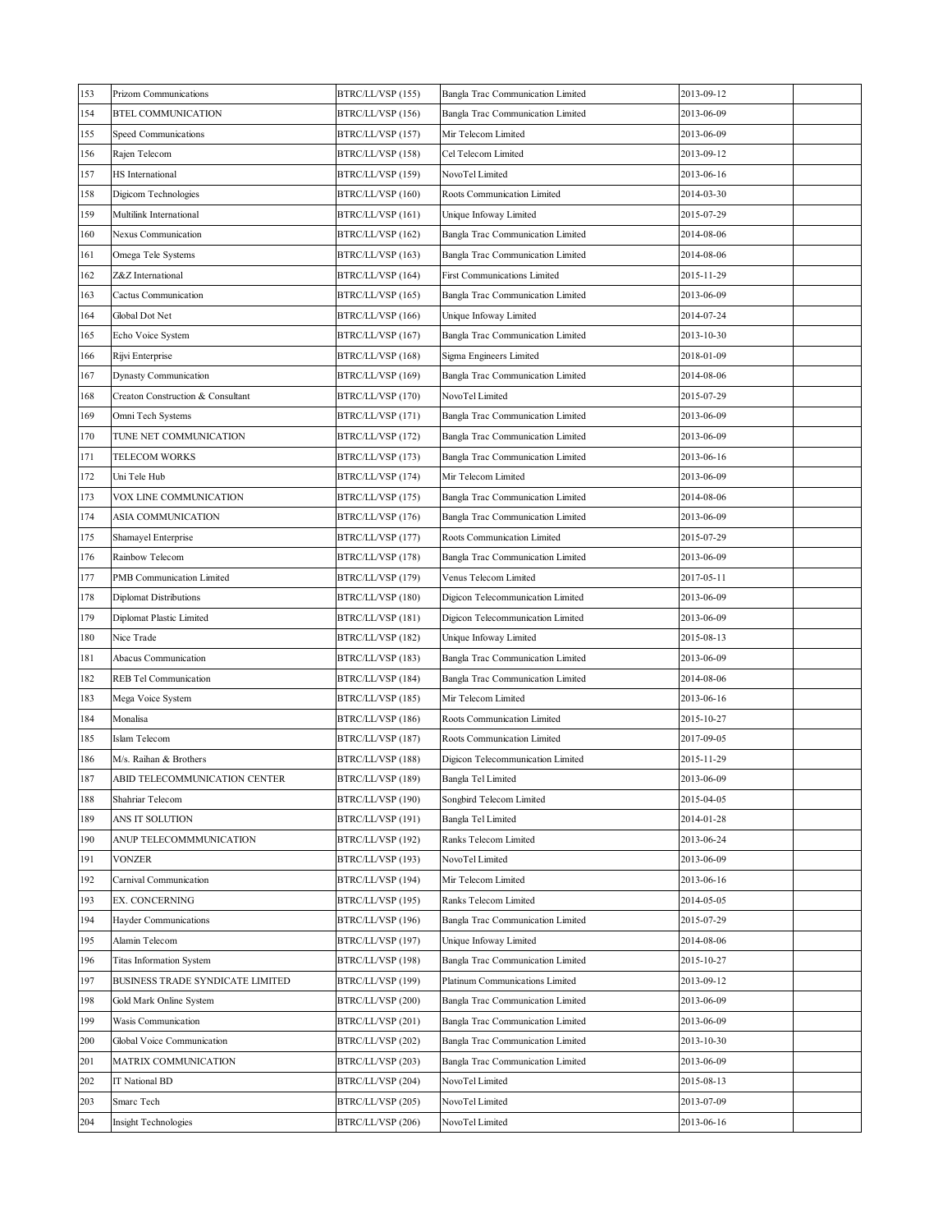| 153 | Prizom Communications             | BTRC/LL/VSP (155) | Bangla Trac Communication Limited   | 2013-09-12 |
|-----|-----------------------------------|-------------------|-------------------------------------|------------|
| 154 | BTEL COMMUNICATION                | BTRC/LL/VSP (156) | Bangla Trac Communication Limited   | 2013-06-09 |
| 155 | Speed Communications              | BTRC/LL/VSP (157) | Mir Telecom Limited                 | 2013-06-09 |
| 156 | Rajen Telecom                     | BTRC/LL/VSP (158) | Cel Telecom Limited                 | 2013-09-12 |
| 157 | HS International                  | BTRC/LL/VSP (159) | NovoTel Limited                     | 2013-06-16 |
| 158 | Digicom Technologies              | BTRC/LL/VSP (160) | Roots Communication Limited         | 2014-03-30 |
| 159 | Multilink International           | BTRC/LL/VSP (161) | Unique Infoway Limited              | 2015-07-29 |
| 160 | Nexus Communication               | BTRC/LL/VSP (162) | Bangla Trac Communication Limited   | 2014-08-06 |
| 161 | Omega Tele Systems                | BTRC/LL/VSP (163) | Bangla Trac Communication Limited   | 2014-08-06 |
| 162 | Z&Z International                 | BTRC/LL/VSP (164) | <b>First Communications Limited</b> | 2015-11-29 |
| 163 | Cactus Communication              | BTRC/LL/VSP (165) | Bangla Trac Communication Limited   | 2013-06-09 |
| 164 | Global Dot Net                    | BTRC/LL/VSP (166) | Unique Infoway Limited              | 2014-07-24 |
| 165 | Echo Voice System                 | BTRC/LL/VSP (167) | Bangla Trac Communication Limited   | 2013-10-30 |
| 166 | Rijvi Enterprise                  | BTRC/LL/VSP (168) | Sigma Engineers Limited             | 2018-01-09 |
| 167 | Dynasty Communication             | BTRC/LL/VSP (169) | Bangla Trac Communication Limited   | 2014-08-06 |
| 168 | Creaton Construction & Consultant | BTRC/LL/VSP (170) | NovoTel Limited                     | 2015-07-29 |
| 169 | Omni Tech Systems                 | BTRC/LL/VSP (171) | Bangla Trac Communication Limited   | 2013-06-09 |
| 170 | TUNE NET COMMUNICATION            | BTRC/LL/VSP (172) | Bangla Trac Communication Limited   | 2013-06-09 |
| 171 | TELECOM WORKS                     | BTRC/LL/VSP (173) | Bangla Trac Communication Limited   | 2013-06-16 |
| 172 | Uni Tele Hub                      | BTRC/LL/VSP (174) | Mir Telecom Limited                 | 2013-06-09 |
| 173 | VOX LINE COMMUNICATION            | BTRC/LL/VSP (175) | Bangla Trac Communication Limited   | 2014-08-06 |
| 174 | ASIA COMMUNICATION                | BTRC/LL/VSP (176) | Bangla Trac Communication Limited   | 2013-06-09 |
| 175 | Shamayel Enterprise               | BTRC/LL/VSP (177) | Roots Communication Limited         | 2015-07-29 |
| 176 | Rainbow Telecom                   | BTRC/LL/VSP (178) | Bangla Trac Communication Limited   | 2013-06-09 |
| 177 | PMB Communication Limited         | BTRC/LL/VSP (179) | Venus Telecom Limited               | 2017-05-11 |
| 178 | Diplomat Distributions            | BTRC/LL/VSP (180) | Digicon Telecommunication Limited   | 2013-06-09 |
| 179 | Diplomat Plastic Limited          | BTRC/LL/VSP (181) | Digicon Telecommunication Limited   | 2013-06-09 |
| 180 | Nice Trade                        | BTRC/LL/VSP (182) | Unique Infoway Limited              | 2015-08-13 |
| 181 | Abacus Communication              | BTRC/LL/VSP (183) | Bangla Trac Communication Limited   | 2013-06-09 |
| 182 | REB Tel Communication             | BTRC/LL/VSP (184) | Bangla Trac Communication Limited   | 2014-08-06 |
| 183 | Mega Voice System                 | BTRC/LL/VSP (185) | Mir Telecom Limited                 | 2013-06-16 |
| 184 | Monalisa                          | BTRC/LL/VSP (186) | Roots Communication Limited         | 2015-10-27 |
| 185 | Islam Telecom                     | BTRC/LL/VSP (187) | Roots Communication Limited         | 2017-09-05 |
| 186 | M/s. Raihan & Brothers            | BTRC/LL/VSP (188) | Digicon Telecommunication Limited   | 2015-11-29 |
| 187 | ABID TELECOMMUNICATION CENTER     | BTRC/LL/VSP (189) | Bangla Tel Limited                  | 2013-06-09 |
| 188 | Shahriar Telecom                  | BTRC/LL/VSP (190) | Songbird Telecom Limited            | 2015-04-05 |
| 189 | ANS IT SOLUTION                   | BTRC/LL/VSP (191) | Bangla Tel Limited                  | 2014-01-28 |
| 190 | ANUP TELECOMMMUNICATION           | BTRC/LL/VSP (192) | Ranks Telecom Limited               | 2013-06-24 |
| 191 | VONZER                            | BTRC/LL/VSP (193) | NovoTel Limited                     | 2013-06-09 |
| 192 | Carnival Communication            | BTRC/LL/VSP (194) | Mir Telecom Limited                 | 2013-06-16 |
| 193 | EX. CONCERNING                    | BTRC/LL/VSP (195) | Ranks Telecom Limited               | 2014-05-05 |
| 194 | Hayder Communications             | BTRC/LL/VSP (196) | Bangla Trac Communication Limited   | 2015-07-29 |
| 195 | Alamin Telecom                    | BTRC/LL/VSP (197) | Unique Infoway Limited              | 2014-08-06 |
| 196 | Titas Information System          | BTRC/LL/VSP (198) | Bangla Trac Communication Limited   | 2015-10-27 |
| 197 | BUSINESS TRADE SYNDICATE LIMITED  | BTRC/LL/VSP (199) | Platinum Communications Limited     | 2013-09-12 |
| 198 | Gold Mark Online System           | BTRC/LL/VSP (200) | Bangla Trac Communication Limited   | 2013-06-09 |
| 199 | Wasis Communication               | BTRC/LL/VSP (201) | Bangla Trac Communication Limited   | 2013-06-09 |
| 200 | Global Voice Communication        | BTRC/LL/VSP (202) | Bangla Trac Communication Limited   | 2013-10-30 |
| 201 | MATRIX COMMUNICATION              | BTRC/LL/VSP (203) | Bangla Trac Communication Limited   | 2013-06-09 |
| 202 | IT National BD                    | BTRC/LL/VSP (204) | NovoTel Limited                     | 2015-08-13 |
| 203 | Smarc Tech                        | BTRC/LL/VSP (205) | NovoTel Limited                     | 2013-07-09 |
| 204 | Insight Technologies              | BTRC/LL/VSP (206) | NovoTel Limited                     | 2013-06-16 |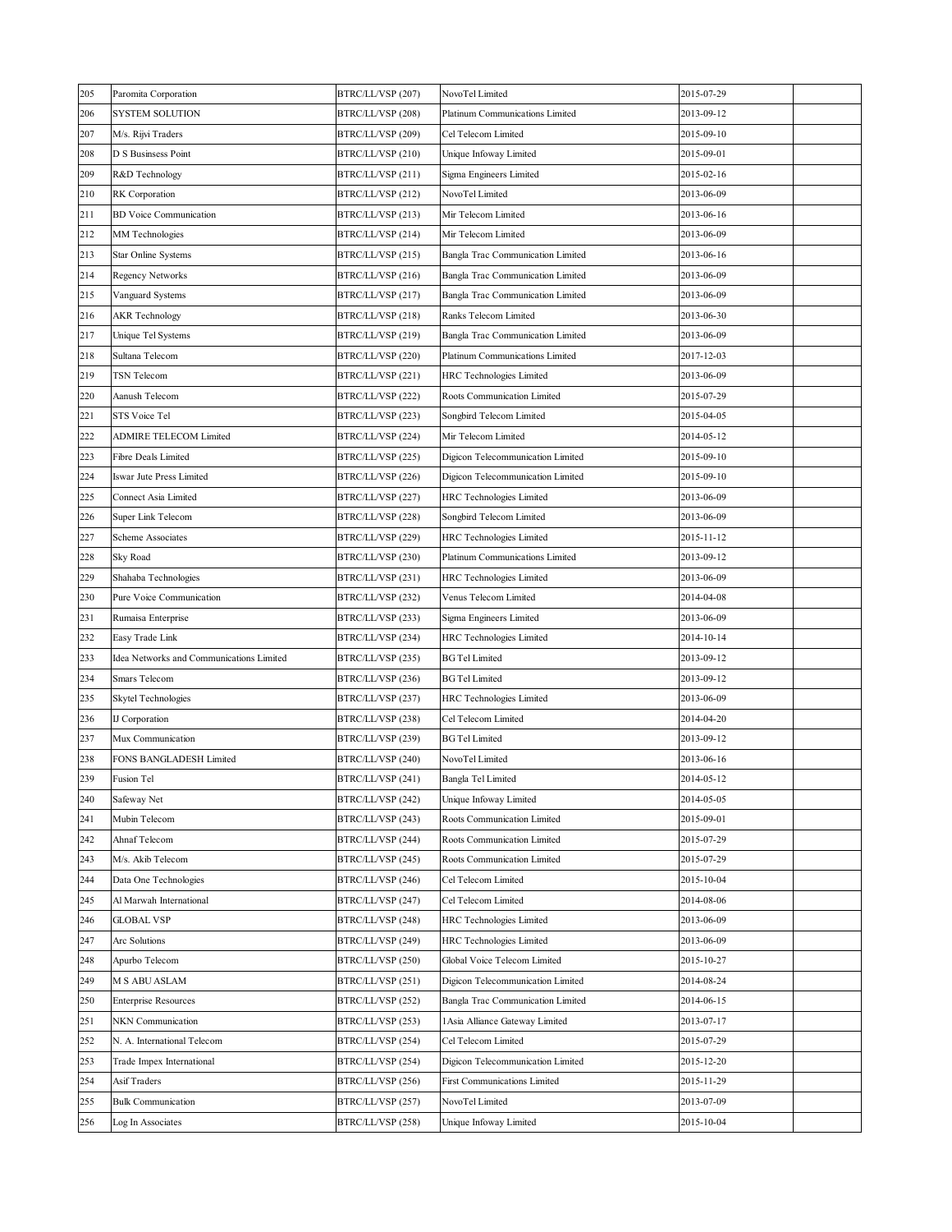| 205 | Paromita Corporation                     | BTRC/LL/VSP (207) | NovoTel Limited                   | 2015-07-29 |  |
|-----|------------------------------------------|-------------------|-----------------------------------|------------|--|
| 206 | <b>SYSTEM SOLUTION</b>                   | BTRC/LL/VSP (208) | Platinum Communications Limited   | 2013-09-12 |  |
| 207 | M/s. Rijvi Traders                       | BTRC/LL/VSP (209) | Cel Telecom Limited               | 2015-09-10 |  |
| 208 | D S Businsess Point                      | BTRC/LL/VSP (210) | Unique Infoway Limited            | 2015-09-01 |  |
| 209 | R&D Technology                           | BTRC/LL/VSP (211) | Sigma Engineers Limited           | 2015-02-16 |  |
| 210 | RK Corporation                           | BTRC/LL/VSP (212) | NovoTel Limited                   | 2013-06-09 |  |
| 211 | <b>BD</b> Voice Communication            | BTRC/LL/VSP (213) | Mir Telecom Limited               | 2013-06-16 |  |
| 212 | MM Technologies                          | BTRC/LL/VSP (214) | Mir Telecom Limited               | 2013-06-09 |  |
| 213 | Star Online Systems                      | BTRC/LL/VSP (215) | Bangla Trac Communication Limited | 2013-06-16 |  |
| 214 | <b>Regency Networks</b>                  | BTRC/LL/VSP (216) | Bangla Trac Communication Limited | 2013-06-09 |  |
| 215 | Vanguard Systems                         | BTRC/LL/VSP (217) | Bangla Trac Communication Limited | 2013-06-09 |  |
| 216 | <b>AKR Technology</b>                    | BTRC/LL/VSP (218) | Ranks Telecom Limited             | 2013-06-30 |  |
| 217 | Unique Tel Systems                       | BTRC/LL/VSP (219) | Bangla Trac Communication Limited | 2013-06-09 |  |
| 218 | Sultana Telecom                          | BTRC/LL/VSP (220) | Platinum Communications Limited   | 2017-12-03 |  |
| 219 | TSN Telecom                              | BTRC/LL/VSP (221) | HRC Technologies Limited          | 2013-06-09 |  |
| 220 | Aanush Telecom                           | BTRC/LL/VSP (222) | Roots Communication Limited       | 2015-07-29 |  |
| 221 | STS Voice Tel                            | BTRC/LL/VSP (223) | Songbird Telecom Limited          | 2015-04-05 |  |
| 222 | ADMIRE TELECOM Limited                   | BTRC/LL/VSP (224) | Mir Telecom Limited               | 2014-05-12 |  |
| 223 | Fibre Deals Limited                      | BTRC/LL/VSP (225) | Digicon Telecommunication Limited | 2015-09-10 |  |
| 224 | Iswar Jute Press Limited                 | BTRC/LL/VSP (226) | Digicon Telecommunication Limited | 2015-09-10 |  |
| 225 | Connect Asia Limited                     | BTRC/LL/VSP (227) | HRC Technologies Limited          | 2013-06-09 |  |
| 226 | Super Link Telecom                       | BTRC/LL/VSP (228) | Songbird Telecom Limited          | 2013-06-09 |  |
| 227 | Scheme Associates                        | BTRC/LL/VSP (229) | HRC Technologies Limited          | 2015-11-12 |  |
| 228 | Sky Road                                 | BTRC/LL/VSP (230) | Platinum Communications Limited   | 2013-09-12 |  |
| 229 | Shahaba Technologies                     | BTRC/LL/VSP (231) | HRC Technologies Limited          | 2013-06-09 |  |
| 230 | Pure Voice Communication                 | BTRC/LL/VSP (232) | Venus Telecom Limited             | 2014-04-08 |  |
| 231 | Rumaisa Enterprise                       | BTRC/LL/VSP (233) | Sigma Engineers Limited           | 2013-06-09 |  |
| 232 | Easy Trade Link                          | BTRC/LL/VSP (234) | HRC Technologies Limited          | 2014-10-14 |  |
| 233 | Idea Networks and Communications Limited | BTRC/LL/VSP (235) | <b>BG</b> Tel Limited             | 2013-09-12 |  |
| 234 | Smars Telecom                            | BTRC/LL/VSP (236) | <b>BG</b> Tel Limited             | 2013-09-12 |  |
| 235 | <b>Skytel Technologies</b>               | BTRC/LL/VSP (237) | HRC Technologies Limited          | 2013-06-09 |  |
| 236 | IJ Corporation                           | BTRC/LL/VSP (238) | Cel Telecom Limited               | 2014-04-20 |  |
| 237 | Mux Communication                        | BTRC/LL/VSP (239) | BG Tel Limited                    | 2013-09-12 |  |
| 238 | FONS BANGLADESH Limited                  | BTRC/LL/VSP (240) | NovoTel Limited                   | 2013-06-16 |  |
| 239 | Fusion Tel                               | BTRC/LL/VSP (241) | Bangla Tel Limited                | 2014-05-12 |  |
| 240 | Safeway Net                              | BTRC/LL/VSP (242) | Unique Infoway Limited            | 2014-05-05 |  |
| 241 | Mubin Telecom                            | BTRC/LL/VSP (243) | Roots Communication Limited       | 2015-09-01 |  |
| 242 | Ahnaf Telecom                            | BTRC/LL/VSP (244) | Roots Communication Limited       | 2015-07-29 |  |
| 243 | M/s. Akib Telecom                        | BTRC/LL/VSP (245) | Roots Communication Limited       | 2015-07-29 |  |
| 244 | Data One Technologies                    | BTRC/LL/VSP (246) | Cel Telecom Limited               | 2015-10-04 |  |
| 245 | Al Marwah International                  | BTRC/LL/VSP (247) | Cel Telecom Limited               | 2014-08-06 |  |
| 246 | GLOBAL VSP                               | BTRC/LL/VSP (248) | HRC Technologies Limited          | 2013-06-09 |  |
| 247 | Arc Solutions                            | BTRC/LL/VSP (249) | HRC Technologies Limited          | 2013-06-09 |  |
| 248 | Apurbo Telecom                           | BTRC/LL/VSP (250) | Global Voice Telecom Limited      | 2015-10-27 |  |
| 249 | <b>M S ABU ASLAM</b>                     | BTRC/LL/VSP (251) | Digicon Telecommunication Limited | 2014-08-24 |  |
| 250 | <b>Enterprise Resources</b>              | BTRC/LL/VSP (252) | Bangla Trac Communication Limited | 2014-06-15 |  |
| 251 | NKN Communication                        | BTRC/LL/VSP (253) | l Asia Alliance Gateway Limited   | 2013-07-17 |  |
| 252 | N. A. International Telecom              | BTRC/LL/VSP (254) | Cel Telecom Limited               | 2015-07-29 |  |
| 253 | Trade Impex International                | BTRC/LL/VSP (254) | Digicon Telecommunication Limited | 2015-12-20 |  |
| 254 | Asif Traders                             | BTRC/LL/VSP (256) | First Communications Limited      | 2015-11-29 |  |
| 255 | <b>Bulk Communication</b>                | BTRC/LL/VSP (257) | NovoTel Limited                   | 2013-07-09 |  |
| 256 | Log In Associates                        | BTRC/LL/VSP (258) | Unique Infoway Limited            | 2015-10-04 |  |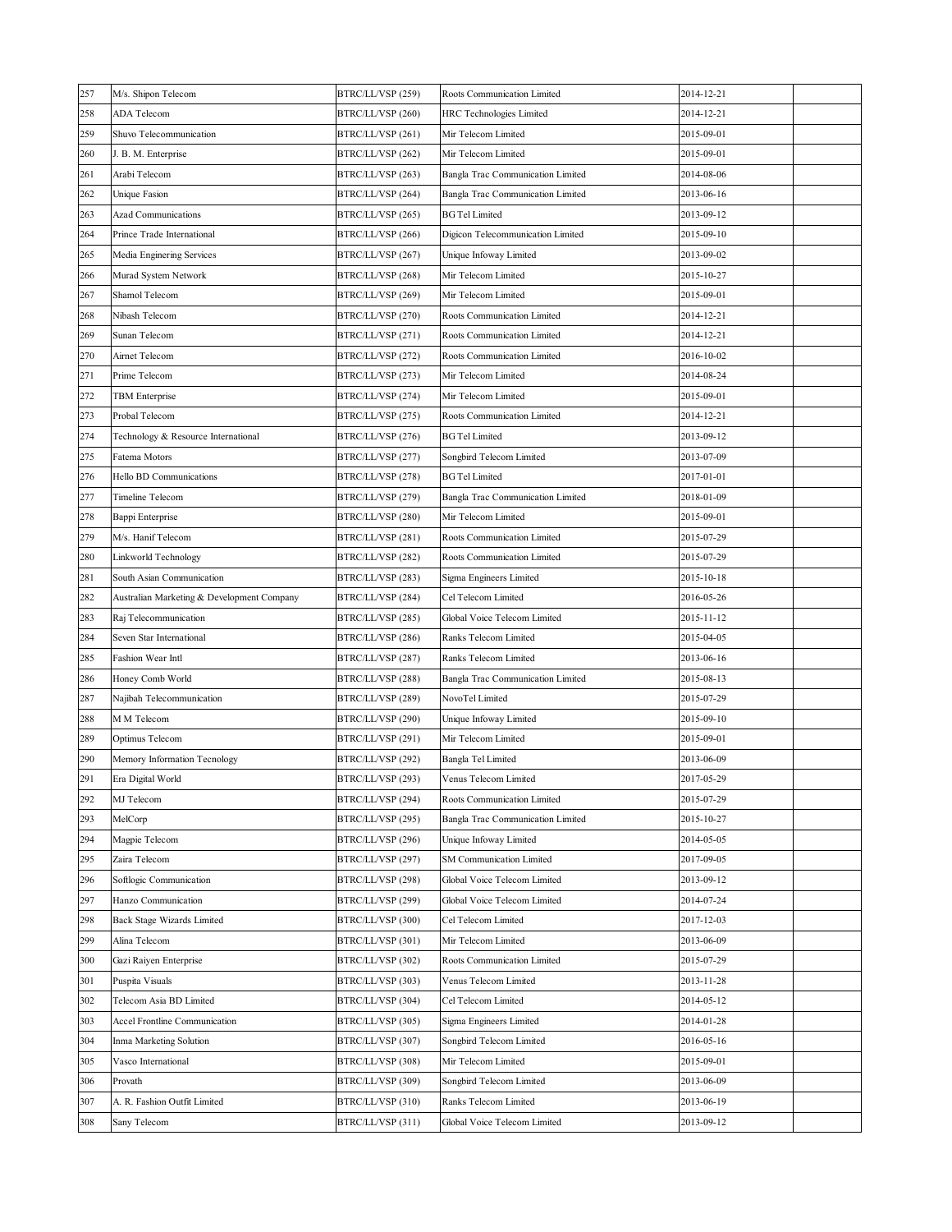| 258<br><b>ADA Telecom</b><br>BTRC/LL/VSP (260)<br>2014-12-21<br>HRC Technologies Limited<br>259<br>Shuvo Telecommunication<br>BTRC/LL/VSP (261)<br>Mir Telecom Limited<br>2015-09-01<br>2015-09-01<br>260<br>J. B. M. Enterprise<br>BTRC/LL/VSP (262)<br>Mir Telecom Limited<br>261<br>Arabi Telecom<br>BTRC/LL/VSP (263)<br>Bangla Trac Communication Limited<br>2014-08-06 |  |
|------------------------------------------------------------------------------------------------------------------------------------------------------------------------------------------------------------------------------------------------------------------------------------------------------------------------------------------------------------------------------|--|
|                                                                                                                                                                                                                                                                                                                                                                              |  |
|                                                                                                                                                                                                                                                                                                                                                                              |  |
|                                                                                                                                                                                                                                                                                                                                                                              |  |
|                                                                                                                                                                                                                                                                                                                                                                              |  |
| 262<br>Unique Fasion<br>BTRC/LL/VSP (264)<br>Bangla Trac Communication Limited<br>2013-06-16                                                                                                                                                                                                                                                                                 |  |
| 263<br>BTRC/LL/VSP (265)<br><b>BG Tel Limited</b><br>2013-09-12<br><b>Azad Communications</b>                                                                                                                                                                                                                                                                                |  |
| 264<br>Prince Trade International<br>BTRC/LL/VSP (266)<br>Digicon Telecommunication Limited<br>2015-09-10                                                                                                                                                                                                                                                                    |  |
| 265<br>Media Enginering Services<br>BTRC/LL/VSP (267)<br>Unique Infoway Limited<br>2013-09-02                                                                                                                                                                                                                                                                                |  |
| 266<br>Murad System Network<br>BTRC/LL/VSP (268)<br>Mir Telecom Limited<br>2015-10-27                                                                                                                                                                                                                                                                                        |  |
| 267<br>Shamol Telecom<br>Mir Telecom Limited<br>2015-09-01<br>BTRC/LL/VSP (269)                                                                                                                                                                                                                                                                                              |  |
| 268<br>Nibash Telecom<br>BTRC/LL/VSP (270)<br>Roots Communication Limited<br>2014-12-21                                                                                                                                                                                                                                                                                      |  |
| 269<br>Sunan Telecom<br>BTRC/LL/VSP (271)<br>Roots Communication Limited<br>2014-12-21                                                                                                                                                                                                                                                                                       |  |
| 270<br>Airnet Telecom<br>BTRC/LL/VSP (272)<br>Roots Communication Limited<br>2016-10-02                                                                                                                                                                                                                                                                                      |  |
| 271<br>Prime Telecom<br>BTRC/LL/VSP (273)<br>Mir Telecom Limited<br>2014-08-24                                                                                                                                                                                                                                                                                               |  |
| 272<br><b>TBM</b> Enterprise<br>Mir Telecom Limited<br>2015-09-01<br>BTRC/LL/VSP (274)                                                                                                                                                                                                                                                                                       |  |
| 273<br>Probal Telecom<br>Roots Communication Limited<br>2014-12-21<br>BTRC/LL/VSP (275)                                                                                                                                                                                                                                                                                      |  |
| 274<br>Technology & Resource International<br>BTRC/LL/VSP (276)<br><b>BG Tel Limited</b><br>2013-09-12                                                                                                                                                                                                                                                                       |  |
| 275<br>Fatema Motors<br>BTRC/LL/VSP (277)<br>Songbird Telecom Limited<br>2013-07-09                                                                                                                                                                                                                                                                                          |  |
| 276<br>BTRC/LL/VSP (278)<br><b>BG Tel Limited</b><br>Hello BD Communications<br>2017-01-01                                                                                                                                                                                                                                                                                   |  |
| 277<br>Timeline Telecom<br>BTRC/LL/VSP (279)<br>Bangla Trac Communication Limited<br>2018-01-09                                                                                                                                                                                                                                                                              |  |
| Mir Telecom Limited<br>278<br>Bappi Enterprise<br>BTRC/LL/VSP (280)<br>2015-09-01                                                                                                                                                                                                                                                                                            |  |
| 279<br>M/s. Hanif Telecom<br>BTRC/LL/VSP (281)<br>Roots Communication Limited<br>2015-07-29                                                                                                                                                                                                                                                                                  |  |
| 280<br>Linkworld Technology<br>BTRC/LL/VSP (282)<br>2015-07-29<br>Roots Communication Limited                                                                                                                                                                                                                                                                                |  |
| 281<br>South Asian Communication<br>BTRC/LL/VSP (283)<br>Sigma Engineers Limited<br>2015-10-18                                                                                                                                                                                                                                                                               |  |
| 282<br>Australian Marketing & Development Company<br>BTRC/LL/VSP (284)<br>Cel Telecom Limited<br>2016-05-26                                                                                                                                                                                                                                                                  |  |
| 283<br>Raj Telecommunication<br>BTRC/LL/VSP (285)<br>Global Voice Telecom Limited<br>2015-11-12                                                                                                                                                                                                                                                                              |  |
| 284<br>Seven Star International<br>BTRC/LL/VSP (286)<br>Ranks Telecom Limited<br>2015-04-05                                                                                                                                                                                                                                                                                  |  |
| 285<br>Fashion Wear Intl<br>BTRC/LL/VSP (287)<br>Ranks Telecom Limited<br>2013-06-16                                                                                                                                                                                                                                                                                         |  |
| 286<br>Honey Comb World<br>BTRC/LL/VSP (288)<br>Bangla Trac Communication Limited<br>2015-08-13                                                                                                                                                                                                                                                                              |  |
| 287<br>BTRC/LL/VSP (289)<br>NovoTel Limited<br>Najibah Telecommunication<br>2015-07-29                                                                                                                                                                                                                                                                                       |  |
| 288<br>M M Telecom<br>BTRC/LL/VSP (290)<br>Unique Infoway Limited<br>2015-09-10                                                                                                                                                                                                                                                                                              |  |
| 289<br>Mir Telecom Limited<br>2015-09-01<br>Optimus Telecom<br>BTRC/LL/VSP (291)                                                                                                                                                                                                                                                                                             |  |
| 290<br>Memory Information Tecnology<br>BTRC/LL/VSP (292)<br>Bangla Tel Limited<br>2013-06-09                                                                                                                                                                                                                                                                                 |  |
| 2017-05-29<br>291<br>Era Digital World<br>BTRC/LL/VSP (293)<br>Venus Telecom Limited                                                                                                                                                                                                                                                                                         |  |
| 292<br>BTRC/LL/VSP (294)<br>2015-07-29<br>MJ Telecom<br>Roots Communication Limited                                                                                                                                                                                                                                                                                          |  |
| 293<br>MelCorp<br>BTRC/LL/VSP (295)<br>2015-10-27<br>Bangla Trac Communication Limited                                                                                                                                                                                                                                                                                       |  |
| 294<br>Magpie Telecom<br>BTRC/LL/VSP (296)<br>Unique Infoway Limited<br>2014-05-05                                                                                                                                                                                                                                                                                           |  |
| 295<br>Zaira Telecom<br>BTRC/LL/VSP (297)<br><b>SM Communication Limited</b><br>2017-09-05                                                                                                                                                                                                                                                                                   |  |
| 296<br>Softlogic Communication<br>BTRC/LL/VSP (298)<br>Global Voice Telecom Limited<br>2013-09-12                                                                                                                                                                                                                                                                            |  |
| 297<br>Hanzo Communication<br>BTRC/LL/VSP (299)<br>Global Voice Telecom Limited<br>2014-07-24                                                                                                                                                                                                                                                                                |  |
| Back Stage Wizards Limited<br>BTRC/LL/VSP (300)<br>Cel Telecom Limited<br>2017-12-03<br>298                                                                                                                                                                                                                                                                                  |  |
| 299<br>Alina Telecom<br>BTRC/LL/VSP (301)<br>Mir Telecom Limited<br>2013-06-09                                                                                                                                                                                                                                                                                               |  |
|                                                                                                                                                                                                                                                                                                                                                                              |  |
| 300<br>Gazi Raiyen Enterprise<br>BTRC/LL/VSP (302)<br>Roots Communication Limited<br>2015-07-29                                                                                                                                                                                                                                                                              |  |
| Puspita Visuals<br>BTRC/LL/VSP (303)<br>Venus Telecom Limited<br>301<br>2013-11-28                                                                                                                                                                                                                                                                                           |  |
| 302<br>Telecom Asia BD Limited<br>BTRC/LL/VSP (304)<br>2014-05-12<br>Cel Telecom Limited                                                                                                                                                                                                                                                                                     |  |
| 303<br>Accel Frontline Communication<br>Sigma Engineers Limited<br>2014-01-28<br>BTRC/LL/VSP (305)                                                                                                                                                                                                                                                                           |  |
| 304<br>Inma Marketing Solution<br>BTRC/LL/VSP (307)<br>Songbird Telecom Limited<br>2016-05-16                                                                                                                                                                                                                                                                                |  |
| 305<br>Vasco International<br>BTRC/LL/VSP (308)<br>Mir Telecom Limited<br>2015-09-01                                                                                                                                                                                                                                                                                         |  |
| 306<br>BTRC/LL/VSP (309)<br>Songbird Telecom Limited<br>2013-06-09<br>Provath                                                                                                                                                                                                                                                                                                |  |
| 307<br>A. R. Fashion Outfit Limited<br>BTRC/LL/VSP (310)<br>2013-06-19<br>Ranks Telecom Limited                                                                                                                                                                                                                                                                              |  |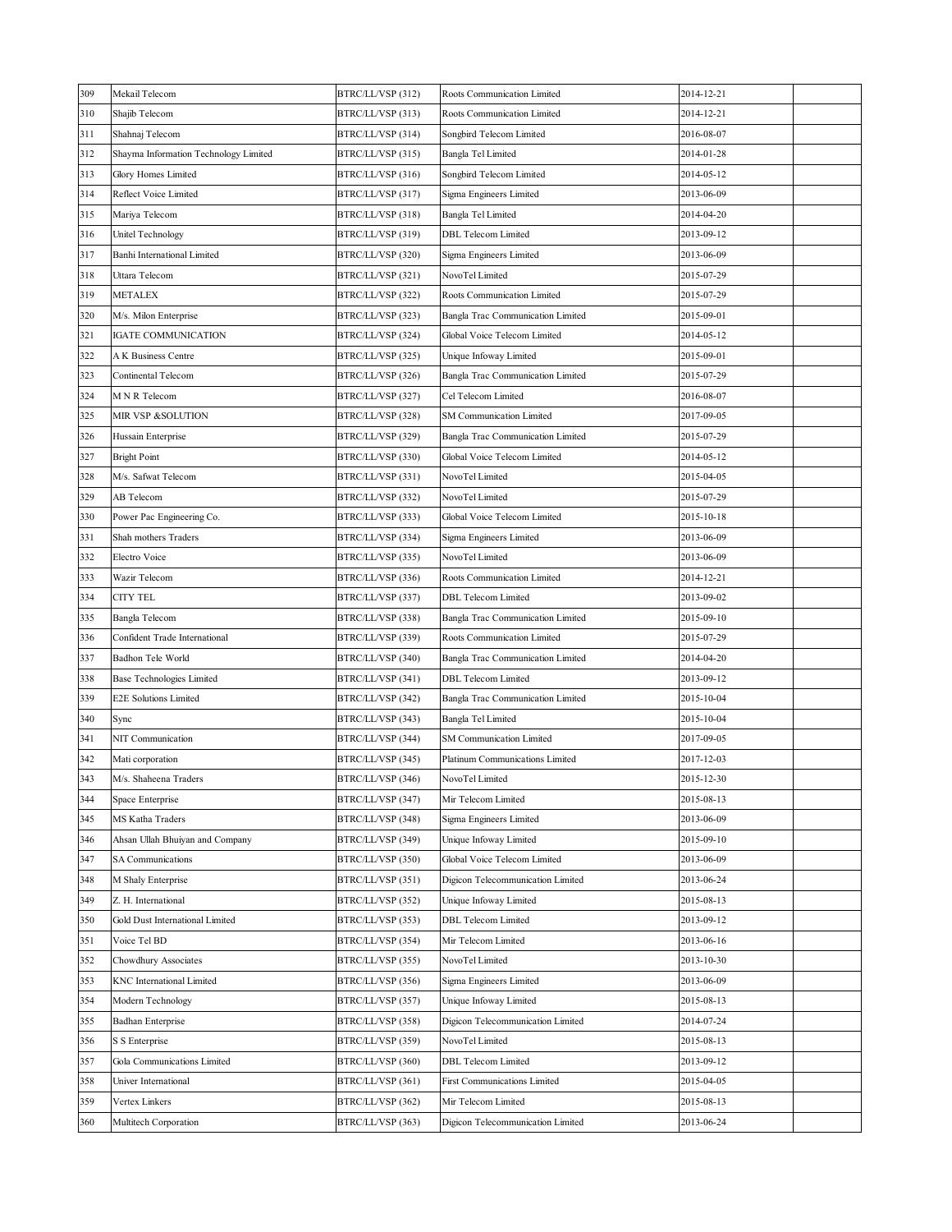| 309 | Mekail Telecom                        | BTRC/LL/VSP (312) | Roots Communication Limited       | 2014-12-21 |  |
|-----|---------------------------------------|-------------------|-----------------------------------|------------|--|
| 310 | Shajib Telecom                        | BTRC/LL/VSP (313) | Roots Communication Limited       | 2014-12-21 |  |
| 311 | Shahnaj Telecom                       | BTRC/LL/VSP (314) | Songbird Telecom Limited          | 2016-08-07 |  |
| 312 | Shayma Information Technology Limited | BTRC/LL/VSP (315) | Bangla Tel Limited                | 2014-01-28 |  |
| 313 | Glory Homes Limited                   | BTRC/LL/VSP (316) | Songbird Telecom Limited          | 2014-05-12 |  |
| 314 | Reflect Voice Limited                 | BTRC/LL/VSP (317) | Sigma Engineers Limited           | 2013-06-09 |  |
| 315 | Mariya Telecom                        | BTRC/LL/VSP (318) | Bangla Tel Limited                | 2014-04-20 |  |
| 316 | Unitel Technology                     | BTRC/LL/VSP (319) | <b>DBL</b> Telecom Limited        | 2013-09-12 |  |
| 317 | Banhi International Limited           | BTRC/LL/VSP (320) | Sigma Engineers Limited           | 2013-06-09 |  |
| 318 | Uttara Telecom                        | BTRC/LL/VSP (321) | NovoTel Limited                   | 2015-07-29 |  |
| 319 | <b>METALEX</b>                        | BTRC/LL/VSP (322) | Roots Communication Limited       | 2015-07-29 |  |
| 320 | M/s. Milon Enterprise                 | BTRC/LL/VSP (323) | Bangla Trac Communication Limited | 2015-09-01 |  |
| 321 | IGATE COMMUNICATION                   | BTRC/LL/VSP (324) | Global Voice Telecom Limited      | 2014-05-12 |  |
| 322 | A K Business Centre                   | BTRC/LL/VSP (325) | Unique Infoway Limited            | 2015-09-01 |  |
| 323 | Continental Telecom                   | BTRC/LL/VSP (326) | Bangla Trac Communication Limited | 2015-07-29 |  |
| 324 | M N R Telecom                         | BTRC/LL/VSP (327) | Cel Telecom Limited               | 2016-08-07 |  |
| 325 | MIR VSP &SOLUTION                     | BTRC/LL/VSP (328) | <b>SM Communication Limited</b>   | 2017-09-05 |  |
| 326 | Hussain Enterprise                    | BTRC/LL/VSP (329) | Bangla Trac Communication Limited | 2015-07-29 |  |
| 327 | <b>Bright Point</b>                   | BTRC/LL/VSP (330) | Global Voice Telecom Limited      | 2014-05-12 |  |
| 328 | M/s. Safwat Telecom                   | BTRC/LL/VSP (331) | NovoTel Limited                   | 2015-04-05 |  |
| 329 | AB Telecom                            | BTRC/LL/VSP (332) | NovoTel Limited                   | 2015-07-29 |  |
| 330 | Power Pac Engineering Co.             | BTRC/LL/VSP (333) | Global Voice Telecom Limited      | 2015-10-18 |  |
| 331 | Shah mothers Traders                  | BTRC/LL/VSP (334) | Sigma Engineers Limited           | 2013-06-09 |  |
| 332 | Electro Voice                         | BTRC/LL/VSP (335) | NovoTel Limited                   | 2013-06-09 |  |
| 333 | Wazir Telecom                         | BTRC/LL/VSP (336) | Roots Communication Limited       | 2014-12-21 |  |
| 334 | CITY TEL                              | BTRC/LL/VSP (337) | <b>DBL Telecom Limited</b>        | 2013-09-02 |  |
| 335 | Bangla Telecom                        | BTRC/LL/VSP (338) | Bangla Trac Communication Limited | 2015-09-10 |  |
| 336 | Confident Trade International         | BTRC/LL/VSP (339) | Roots Communication Limited       | 2015-07-29 |  |
| 337 | Badhon Tele World                     | BTRC/LL/VSP (340) | Bangla Trac Communication Limited | 2014-04-20 |  |
| 338 | Base Technologies Limited             | BTRC/LL/VSP (341) | DBL Telecom Limited               | 2013-09-12 |  |
| 339 | <b>E2E Solutions Limited</b>          | BTRC/LL/VSP (342) | Bangla Trac Communication Limited | 2015-10-04 |  |
| 340 | Sync                                  | BTRC/LL/VSP (343) | Bangla Tel Limited                | 2015-10-04 |  |
| 341 | NIT Communication                     | BTRC/LL/VSP (344) | <b>SM Communication Limited</b>   | 2017-09-05 |  |
| 342 | Mati corporation                      | BTRC/LL/VSP (345) | Platinum Communications Limited   | 2017-12-03 |  |
| 343 | M/s. Shaheena Traders                 | BTRC/LL/VSP (346) | NovoTel Limited                   | 2015-12-30 |  |
| 344 | Space Enterprise                      | BTRC/LL/VSP (347) | Mir Telecom Limited               | 2015-08-13 |  |
| 345 | MS Katha Traders                      | BTRC/LL/VSP (348) | Sigma Engineers Limited           | 2013-06-09 |  |
| 346 | Ahsan Ullah Bhuiyan and Company       | BTRC/LL/VSP (349) | Unique Infoway Limited            | 2015-09-10 |  |
| 347 | SA Communications                     | BTRC/LL/VSP (350) | Global Voice Telecom Limited      | 2013-06-09 |  |
| 348 | M Shaly Enterprise                    | BTRC/LL/VSP (351) | Digicon Telecommunication Limited | 2013-06-24 |  |
| 349 | Z. H. International                   | BTRC/LL/VSP (352) | Unique Infoway Limited            | 2015-08-13 |  |
| 350 | Gold Dust International Limited       | BTRC/LL/VSP (353) | DBL Telecom Limited               | 2013-09-12 |  |
| 351 | Voice Tel BD                          | BTRC/LL/VSP (354) | Mir Telecom Limited               | 2013-06-16 |  |
| 352 | Chowdhury Associates                  | BTRC/LL/VSP (355) | NovoTel Limited                   | 2013-10-30 |  |
| 353 | KNC International Limited             | BTRC/LL/VSP (356) | Sigma Engineers Limited           | 2013-06-09 |  |
| 354 | Modern Technology                     | BTRC/LL/VSP (357) | Unique Infoway Limited            | 2015-08-13 |  |
| 355 | <b>Badhan Enterprise</b>              | BTRC/LL/VSP (358) | Digicon Telecommunication Limited | 2014-07-24 |  |
| 356 | S S Enterprise                        | BTRC/LL/VSP (359) | NovoTel Limited                   | 2015-08-13 |  |
| 357 | Gola Communications Limited           | BTRC/LL/VSP (360) | <b>DBL</b> Telecom Limited        | 2013-09-12 |  |
| 358 | Univer International                  | BTRC/LL/VSP (361) | First Communications Limited      | 2015-04-05 |  |
| 359 | Vertex Linkers                        | BTRC/LL/VSP (362) | Mir Telecom Limited               | 2015-08-13 |  |
| 360 | Multitech Corporation                 | BTRC/LL/VSP (363) | Digicon Telecommunication Limited | 2013-06-24 |  |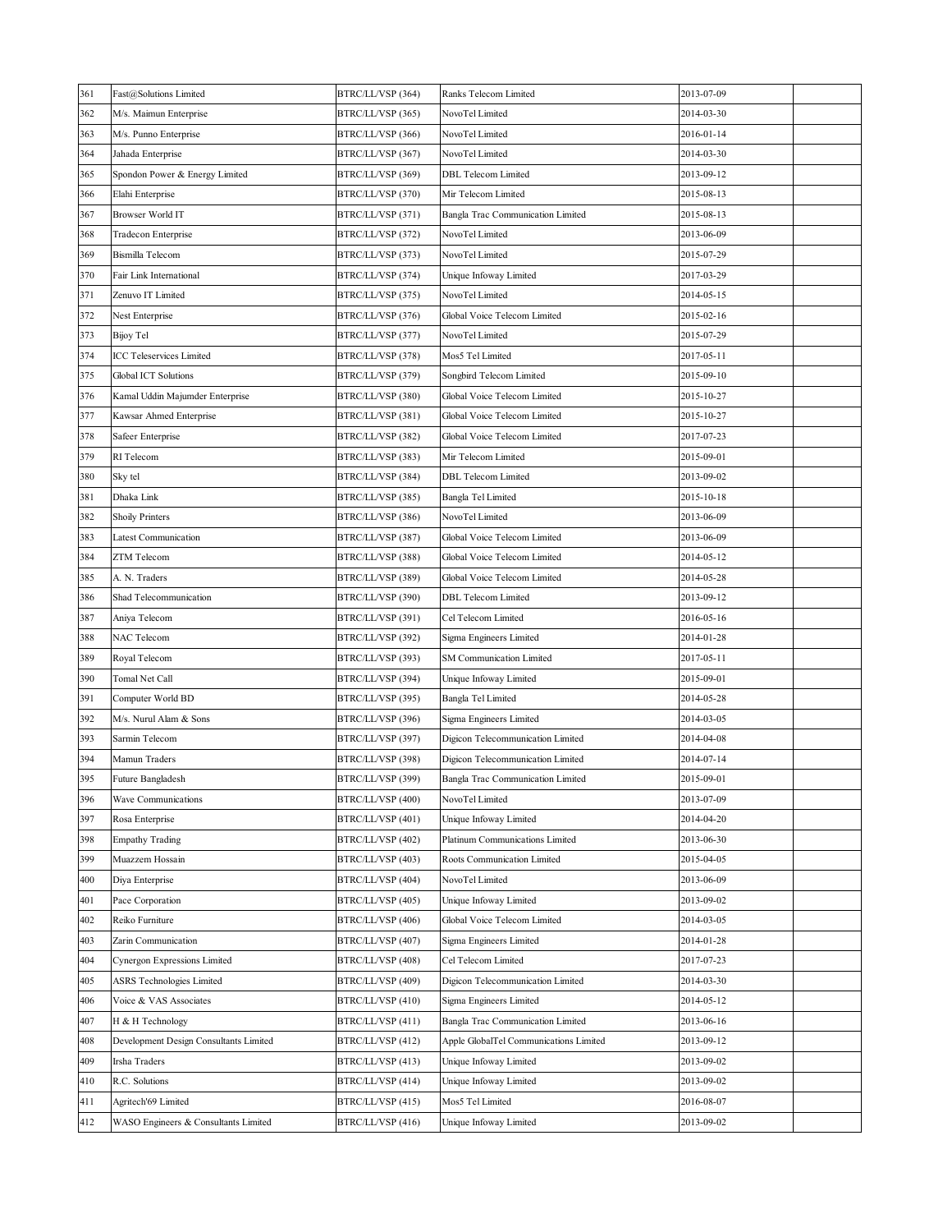| 361 | Fast@Solutions Limited                 | BTRC/LL/VSP (364) | Ranks Telecom Limited                  | 2013-07-09 |  |
|-----|----------------------------------------|-------------------|----------------------------------------|------------|--|
| 362 | M/s. Maimun Enterprise                 | BTRC/LL/VSP (365) | NovoTel Limited                        | 2014-03-30 |  |
| 363 | M/s. Punno Enterprise                  | BTRC/LL/VSP (366) | NovoTel Limited                        | 2016-01-14 |  |
| 364 | Jahada Enterprise                      | BTRC/LL/VSP (367) | NovoTel Limited                        | 2014-03-30 |  |
| 365 | Spondon Power & Energy Limited         | BTRC/LL/VSP (369) | <b>DBL</b> Telecom Limited             | 2013-09-12 |  |
| 366 | Elahi Enterprise                       | BTRC/LL/VSP (370) | Mir Telecom Limited                    | 2015-08-13 |  |
| 367 | Browser World IT                       | BTRC/LL/VSP (371) | Bangla Trac Communication Limited      | 2015-08-13 |  |
| 368 | Tradecon Enterprise                    | BTRC/LL/VSP (372) | NovoTel Limited                        | 2013-06-09 |  |
| 369 | <b>Bismilla</b> Telecom                | BTRC/LL/VSP (373) | NovoTel Limited                        | 2015-07-29 |  |
| 370 | Fair Link International                | BTRC/LL/VSP (374) | Unique Infoway Limited                 | 2017-03-29 |  |
| 371 | Zenuvo IT Limited                      | BTRC/LL/VSP (375) | NovoTel Limited                        | 2014-05-15 |  |
| 372 | Nest Enterprise                        | BTRC/LL/VSP (376) | Global Voice Telecom Limited           | 2015-02-16 |  |
| 373 | <b>Bijoy Tel</b>                       | BTRC/LL/VSP (377) | NovoTel Limited                        | 2015-07-29 |  |
| 374 | <b>ICC Teleservices Limited</b>        | BTRC/LL/VSP (378) | Mos5 Tel Limited                       | 2017-05-11 |  |
| 375 | Global ICT Solutions                   | BTRC/LL/VSP (379) | Songbird Telecom Limited               | 2015-09-10 |  |
| 376 | Kamal Uddin Majumder Enterprise        | BTRC/LL/VSP (380) | Global Voice Telecom Limited           | 2015-10-27 |  |
| 377 | Kawsar Ahmed Enterprise                | BTRC/LL/VSP (381) | Global Voice Telecom Limited           | 2015-10-27 |  |
| 378 | Safeer Enterprise                      | BTRC/LL/VSP (382) | Global Voice Telecom Limited           | 2017-07-23 |  |
| 379 | RI Telecom                             | BTRC/LL/VSP (383) | Mir Telecom Limited                    | 2015-09-01 |  |
| 380 | Sky tel                                | BTRC/LL/VSP (384) | <b>DBL</b> Telecom Limited             | 2013-09-02 |  |
| 381 | Dhaka Link                             | BTRC/LL/VSP (385) | Bangla Tel Limited                     | 2015-10-18 |  |
| 382 | <b>Shoily Printers</b>                 | BTRC/LL/VSP (386) | NovoTel Limited                        | 2013-06-09 |  |
| 383 | Latest Communication                   | BTRC/LL/VSP (387) | Global Voice Telecom Limited           | 2013-06-09 |  |
| 384 | ZTM Telecom                            | BTRC/LL/VSP (388) | Global Voice Telecom Limited           | 2014-05-12 |  |
| 385 | A. N. Traders                          | BTRC/LL/VSP (389) | Global Voice Telecom Limited           | 2014-05-28 |  |
| 386 | Shad Telecommunication                 | BTRC/LL/VSP (390) | <b>DBL</b> Telecom Limited             | 2013-09-12 |  |
| 387 | Aniya Telecom                          | BTRC/LL/VSP (391) | Cel Telecom Limited                    | 2016-05-16 |  |
| 388 | NAC Telecom                            | BTRC/LL/VSP (392) | Sigma Engineers Limited                | 2014-01-28 |  |
| 389 | Royal Telecom                          | BTRC/LL/VSP (393) | <b>SM Communication Limited</b>        | 2017-05-11 |  |
| 390 | Tomal Net Call                         | BTRC/LL/VSP (394) | Unique Infoway Limited                 | 2015-09-01 |  |
| 391 | Computer World BD                      | BTRC/LL/VSP (395) | Bangla Tel Limited                     | 2014-05-28 |  |
| 392 | M/s. Nurul Alam & Sons                 | BTRC/LL/VSP (396) | Sigma Engineers Limited                | 2014-03-05 |  |
| 393 | Sarmin Telecom                         | BTRC/LL/VSP (397) | Digicon Telecommunication Limited      | 2014-04-08 |  |
| 394 | Mamun Traders                          | BTRC/LL/VSP (398) | Digicon Telecommunication Limited      | 2014-07-14 |  |
| 395 | Future Bangladesh                      | BTRC/LL/VSP (399) | Bangla Trac Communication Limited      | 2015-09-01 |  |
| 396 | Wave Communications                    | BTRC/LL/VSP (400) | NovoTel Limited                        | 2013-07-09 |  |
| 397 | Rosa Enterprise                        | BTRC/LL/VSP (401) | Unique Infoway Limited                 | 2014-04-20 |  |
| 398 | <b>Empathy Trading</b>                 | BTRC/LL/VSP (402) | Platinum Communications Limited        | 2013-06-30 |  |
| 399 | Muazzem Hossain                        | BTRC/LL/VSP (403) | Roots Communication Limited            | 2015-04-05 |  |
| 400 | Diya Enterprise                        | BTRC/LL/VSP (404) | NovoTel Limited                        | 2013-06-09 |  |
| 401 | Pace Corporation                       | BTRC/LL/VSP (405) | Unique Infoway Limited                 | 2013-09-02 |  |
| 402 | Reiko Furniture                        | BTRC/LL/VSP (406) | Global Voice Telecom Limited           | 2014-03-05 |  |
| 403 | Zarin Communication                    | BTRC/LL/VSP (407) | Sigma Engineers Limited                | 2014-01-28 |  |
| 404 | Cynergon Expressions Limited           | BTRC/LL/VSP (408) | Cel Telecom Limited                    | 2017-07-23 |  |
| 405 | ASRS Technologies Limited              | BTRC/LL/VSP (409) | Digicon Telecommunication Limited      | 2014-03-30 |  |
| 406 | Voice & VAS Associates                 | BTRC/LL/VSP (410) | Sigma Engineers Limited                | 2014-05-12 |  |
| 407 | H & H Technology                       | BTRC/LL/VSP (411) | Bangla Trac Communication Limited      | 2013-06-16 |  |
| 408 | Development Design Consultants Limited | BTRC/LL/VSP (412) | Apple GlobalTel Communications Limited | 2013-09-12 |  |
| 409 | Irsha Traders                          | BTRC/LL/VSP (413) | Unique Infoway Limited                 | 2013-09-02 |  |
| 410 | R.C. Solutions                         | BTRC/LL/VSP (414) | Unique Infoway Limited                 | 2013-09-02 |  |
| 411 | Agritech'69 Limited                    | BTRC/LL/VSP (415) | Mos5 Tel Limited                       | 2016-08-07 |  |
| 412 | WASO Engineers & Consultants Limited   | BTRC/LL/VSP (416) | Unique Infoway Limited                 | 2013-09-02 |  |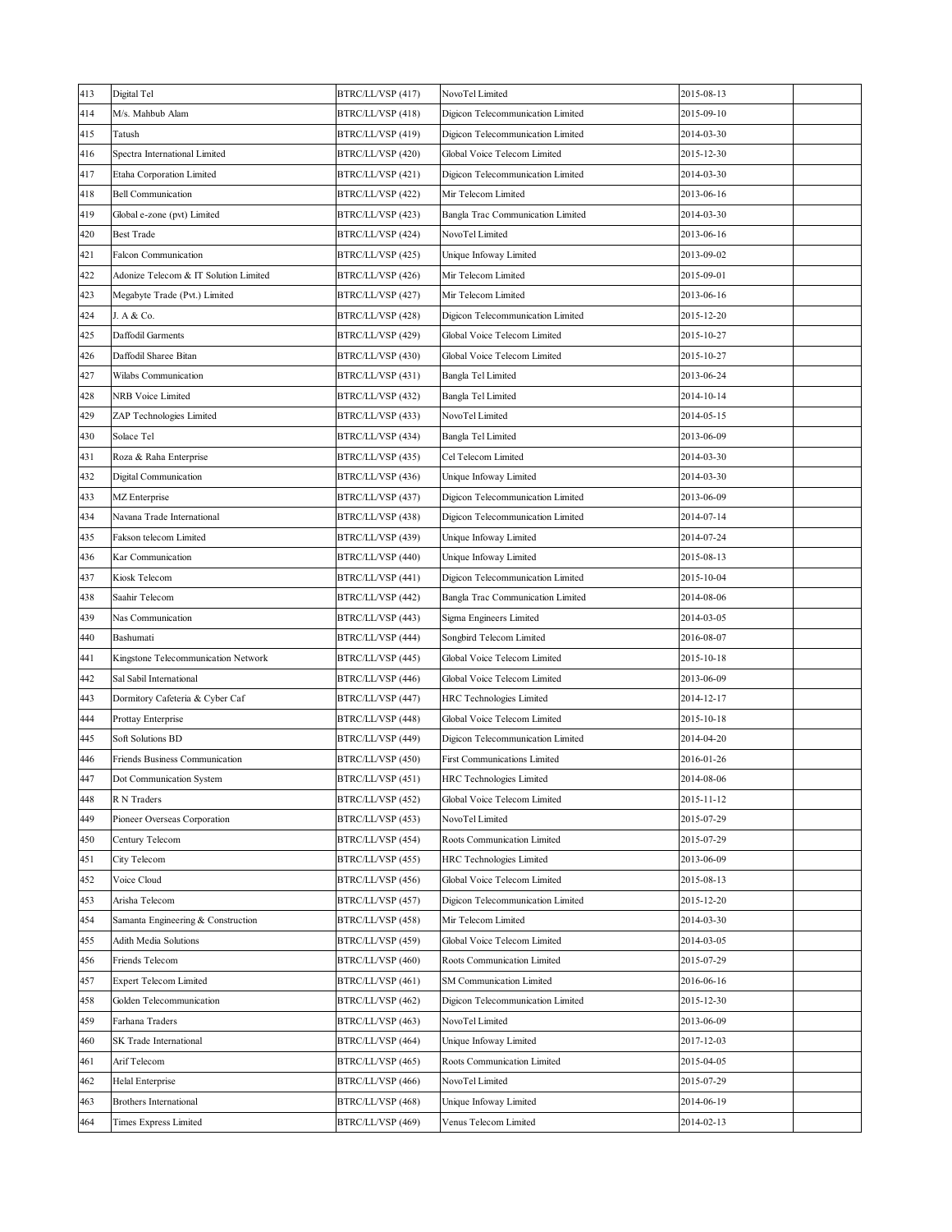| 413 | Digital Tel                                 | BTRC/LL/VSP (417) | NovoTel Limited                   | 2015-08-13 |  |
|-----|---------------------------------------------|-------------------|-----------------------------------|------------|--|
| 414 | M/s. Mahbub Alam                            | BTRC/LL/VSP (418) | Digicon Telecommunication Limited | 2015-09-10 |  |
| 415 | Tatush                                      | BTRC/LL/VSP (419) | Digicon Telecommunication Limited | 2014-03-30 |  |
| 416 | Spectra International Limited               | BTRC/LL/VSP (420) | Global Voice Telecom Limited      | 2015-12-30 |  |
| 417 | Etaha Corporation Limited                   | BTRC/LL/VSP (421) | Digicon Telecommunication Limited | 2014-03-30 |  |
| 418 | <b>Bell Communication</b>                   | BTRC/LL/VSP (422) | Mir Telecom Limited               | 2013-06-16 |  |
| 419 | Global e-zone (pvt) Limited                 | BTRC/LL/VSP (423) | Bangla Trac Communication Limited | 2014-03-30 |  |
| 420 | Best Trade                                  | BTRC/LL/VSP (424) | NovoTel Limited                   | 2013-06-16 |  |
| 421 | Falcon Communication                        | BTRC/LL/VSP (425) | Unique Infoway Limited            | 2013-09-02 |  |
| 422 | Adonize Telecom & IT Solution Limited       | BTRC/LL/VSP (426) | Mir Telecom Limited               | 2015-09-01 |  |
| 423 | Megabyte Trade (Pvt.) Limited               | BTRC/LL/VSP (427) | Mir Telecom Limited               | 2013-06-16 |  |
| 424 | J. A & Co.                                  | BTRC/LL/VSP (428) | Digicon Telecommunication Limited | 2015-12-20 |  |
| 425 | Daffodil Garments                           | BTRC/LL/VSP (429) | Global Voice Telecom Limited      | 2015-10-27 |  |
| 426 | Daffodil Sharee Bitan                       | BTRC/LL/VSP (430) | Global Voice Telecom Limited      | 2015-10-27 |  |
| 427 | Wilabs Communication                        | BTRC/LL/VSP (431) | Bangla Tel Limited                | 2013-06-24 |  |
| 428 | NRB Voice Limited                           | BTRC/LL/VSP (432) | Bangla Tel Limited                | 2014-10-14 |  |
| 429 | ZAP Technologies Limited                    | BTRC/LL/VSP (433) | NovoTel Limited                   | 2014-05-15 |  |
| 430 | Solace Tel                                  | BTRC/LL/VSP (434) | Bangla Tel Limited                | 2013-06-09 |  |
| 431 | Roza & Raha Enterprise                      | BTRC/LL/VSP (435) | Cel Telecom Limited               | 2014-03-30 |  |
| 432 | Digital Communication                       | BTRC/LL/VSP (436) | Unique Infoway Limited            | 2014-03-30 |  |
| 433 | MZ Enterprise                               | BTRC/LL/VSP (437) | Digicon Telecommunication Limited | 2013-06-09 |  |
| 434 | Navana Trade International                  | BTRC/LL/VSP (438) | Digicon Telecommunication Limited | 2014-07-14 |  |
| 435 | Fakson telecom Limited                      | BTRC/LL/VSP (439) | Unique Infoway Limited            | 2014-07-24 |  |
| 436 | Kar Communication                           | BTRC/LL/VSP (440) | Unique Infoway Limited            | 2015-08-13 |  |
| 437 | Kiosk Telecom                               | BTRC/LL/VSP (441) | Digicon Telecommunication Limited | 2015-10-04 |  |
| 438 | Saahir Telecom                              | BTRC/LL/VSP (442) | Bangla Trac Communication Limited | 2014-08-06 |  |
| 439 | Nas Communication                           | BTRC/LL/VSP (443) | Sigma Engineers Limited           | 2014-03-05 |  |
| 440 | Bashumati                                   | BTRC/LL/VSP (444) | Songbird Telecom Limited          | 2016-08-07 |  |
| 441 | Kingstone Telecommunication Network         | BTRC/LL/VSP (445) | Global Voice Telecom Limited      | 2015-10-18 |  |
| 442 | Sal Sabil International                     | BTRC/LL/VSP (446) | Global Voice Telecom Limited      | 2013-06-09 |  |
| 443 | Dormitory Cafeteria & Cyber Caf             | BTRC/LL/VSP (447) | HRC Technologies Limited          | 2014-12-17 |  |
| 444 | Prottay Enterprise                          | BTRC/LL/VSP (448) | Global Voice Telecom Limited      | 2015-10-18 |  |
| 445 | <b>Soft Solutions BD</b>                    | BTRC/LL/VSP (449) | Digicon Telecommunication Limited | 2014-04-20 |  |
| 446 | Friends Business Communication              | BTRC/LL/VSP (450) | First Communications Limited      | 2016-01-26 |  |
| 447 | Dot Communication System                    | BTRC/LL/VSP (451) | HRC Technologies Limited          | 2014-08-06 |  |
| 448 | R N Traders                                 | BTRC/LL/VSP (452) | Global Voice Telecom Limited      | 2015-11-12 |  |
| 449 | Pioneer Overseas Corporation                | BTRC/LL/VSP (453) | NovoTel Limited                   | 2015-07-29 |  |
| 450 | Century Telecom                             | BTRC/LL/VSP (454) | Roots Communication Limited       | 2015-07-29 |  |
| 451 | City Telecom                                | BTRC/LL/VSP (455) | <b>HRC</b> Technologies Limited   | 2013-06-09 |  |
| 452 | Voice Cloud                                 | BTRC/LL/VSP (456) | Global Voice Telecom Limited      | 2015-08-13 |  |
| 453 | Arisha Telecom                              | BTRC/LL/VSP (457) | Digicon Telecommunication Limited | 2015-12-20 |  |
| 454 | Samanta Engineering & Construction          | BTRC/LL/VSP (458) | Mir Telecom Limited               | 2014-03-30 |  |
| 455 | Adith Media Solutions                       | BTRC/LL/VSP (459) | Global Voice Telecom Limited      | 2014-03-05 |  |
| 456 | Friends Telecom                             | BTRC/LL/VSP (460) | Roots Communication Limited       | 2015-07-29 |  |
| 457 | <b>Expert Telecom Limited</b>               | BTRC/LL/VSP (461) | <b>SM Communication Limited</b>   | 2016-06-16 |  |
|     |                                             |                   |                                   |            |  |
| 458 | Golden Telecommunication<br>Farhana Traders | BTRC/LL/VSP (462) | Digicon Telecommunication Limited | 2015-12-30 |  |
| 459 |                                             | BTRC/LL/VSP (463) | NovoTel Limited                   | 2013-06-09 |  |
| 460 | SK Trade International                      | BTRC/LL/VSP (464) | Unique Infoway Limited            | 2017-12-03 |  |
| 461 | Arif Telecom                                | BTRC/LL/VSP (465) | Roots Communication Limited       | 2015-04-05 |  |
| 462 | Helal Enterprise                            | BTRC/LL/VSP (466) | NovoTel Limited                   | 2015-07-29 |  |
| 463 | Brothers International                      | BTRC/LL/VSP (468) | Unique Infoway Limited            | 2014-06-19 |  |
| 464 | Times Express Limited                       | BTRC/LL/VSP (469) | Venus Telecom Limited             | 2014-02-13 |  |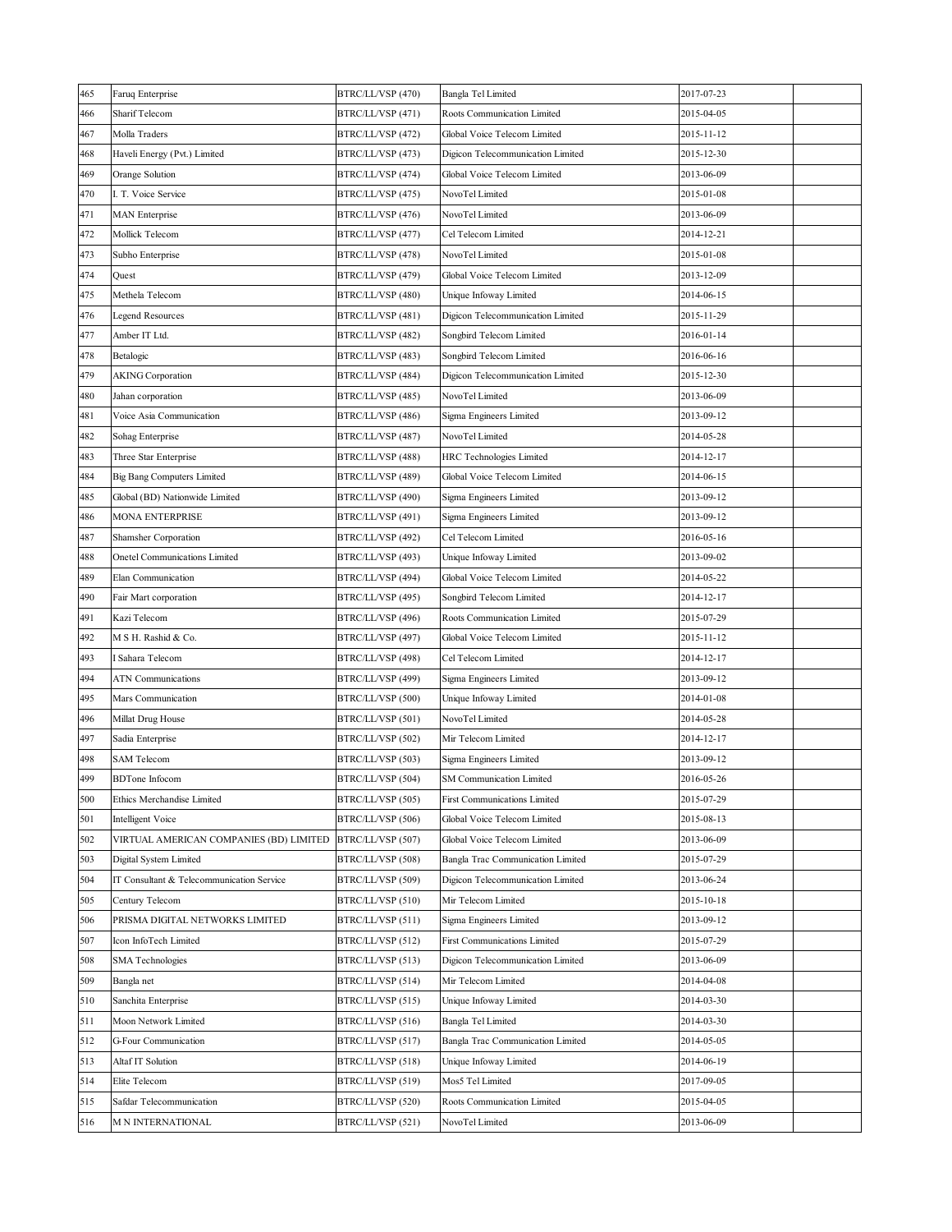| 465 | Faruq Enterprise                          | BTRC/LL/VSP (470) | Bangla Tel Limited                  | 2017-07-23 |
|-----|-------------------------------------------|-------------------|-------------------------------------|------------|
| 466 | Sharif Telecom                            | BTRC/LL/VSP (471) | Roots Communication Limited         | 2015-04-05 |
| 467 | Molla Traders                             | BTRC/LL/VSP (472) | Global Voice Telecom Limited        | 2015-11-12 |
| 468 | Haveli Energy (Pvt.) Limited              | BTRC/LL/VSP (473) | Digicon Telecommunication Limited   | 2015-12-30 |
| 469 | Orange Solution                           | BTRC/LL/VSP (474) | Global Voice Telecom Limited        | 2013-06-09 |
| 470 | I. T. Voice Service                       | BTRC/LL/VSP (475) | NovoTel Limited                     | 2015-01-08 |
| 471 | MAN Enterprise                            | BTRC/LL/VSP (476) | NovoTel Limited                     | 2013-06-09 |
| 472 | Mollick Telecom                           | BTRC/LL/VSP (477) | Cel Telecom Limited                 | 2014-12-21 |
| 473 | Subho Enterprise                          | BTRC/LL/VSP (478) | NovoTel Limited                     | 2015-01-08 |
| 474 | Quest                                     | BTRC/LL/VSP (479) | Global Voice Telecom Limited        | 2013-12-09 |
| 475 | Methela Telecom                           | BTRC/LL/VSP (480) | Unique Infoway Limited              | 2014-06-15 |
| 476 | <b>Legend Resources</b>                   | BTRC/LL/VSP (481) | Digicon Telecommunication Limited   | 2015-11-29 |
| 477 | Amber IT Ltd.                             | BTRC/LL/VSP (482) | Songbird Telecom Limited            | 2016-01-14 |
| 478 | Betalogic                                 | BTRC/LL/VSP (483) | Songbird Telecom Limited            | 2016-06-16 |
| 479 | <b>AKING Corporation</b>                  | BTRC/LL/VSP (484) | Digicon Telecommunication Limited   | 2015-12-30 |
| 480 | Jahan corporation                         | BTRC/LL/VSP (485) | NovoTel Limited                     | 2013-06-09 |
| 481 | Voice Asia Communication                  | BTRC/LL/VSP (486) | Sigma Engineers Limited             | 2013-09-12 |
| 482 | Sohag Enterprise                          | BTRC/LL/VSP (487) | NovoTel Limited                     | 2014-05-28 |
| 483 | Three Star Enterprise                     | BTRC/LL/VSP (488) | HRC Technologies Limited            | 2014-12-17 |
| 484 | <b>Big Bang Computers Limited</b>         | BTRC/LL/VSP (489) | Global Voice Telecom Limited        | 2014-06-15 |
| 485 | Global (BD) Nationwide Limited            | BTRC/LL/VSP (490) | Sigma Engineers Limited             | 2013-09-12 |
| 486 | <b>MONA ENTERPRISE</b>                    | BTRC/LL/VSP (491) | Sigma Engineers Limited             | 2013-09-12 |
| 487 | Shamsher Corporation                      | BTRC/LL/VSP (492) | Cel Telecom Limited                 | 2016-05-16 |
| 488 | Onetel Communications Limited             | BTRC/LL/VSP (493) | Unique Infoway Limited              | 2013-09-02 |
| 489 | Elan Communication                        | BTRC/LL/VSP (494) | Global Voice Telecom Limited        | 2014-05-22 |
| 490 | Fair Mart corporation                     | BTRC/LL/VSP (495) | Songbird Telecom Limited            | 2014-12-17 |
| 491 | Kazi Telecom                              | BTRC/LL/VSP (496) | Roots Communication Limited         | 2015-07-29 |
| 492 | M S H. Rashid & Co.                       | BTRC/LL/VSP (497) | Global Voice Telecom Limited        | 2015-11-12 |
| 493 | I Sahara Telecom                          | BTRC/LL/VSP (498) | Cel Telecom Limited                 | 2014-12-17 |
| 494 | ATN Communications                        | BTRC/LL/VSP (499) | Sigma Engineers Limited             | 2013-09-12 |
| 495 | Mars Communication                        | BTRC/LL/VSP (500) | Unique Infoway Limited              | 2014-01-08 |
| 496 | Millat Drug House                         | BTRC/LL/VSP (501) | NovoTel Limited                     | 2014-05-28 |
| 497 | Sadia Enterprise                          | BTRC/LL/VSP (502) | Mir Telecom Limited                 | 2014-12-17 |
| 498 | <b>SAM Telecom</b>                        | BTRC/LL/VSP (503) | Sigma Engineers Limited             | 2013-09-12 |
| 499 | <b>BDTone Infocom</b>                     | BTRC/LL/VSP (504) | <b>SM Communication Limited</b>     | 2016-05-26 |
| 500 | Ethics Merchandise Limited                | BTRC/LL/VSP (505) | <b>First Communications Limited</b> | 2015-07-29 |
| 501 | <b>Intelligent Voice</b>                  | BTRC/LL/VSP (506) | Global Voice Telecom Limited        | 2015-08-13 |
| 502 | VIRTUAL AMERICAN COMPANIES (BD) LIMITED   | BTRC/LL/VSP (507) | Global Voice Telecom Limited        | 2013-06-09 |
| 503 | Digital System Limited                    | BTRC/LL/VSP (508) | Bangla Trac Communication Limited   | 2015-07-29 |
| 504 | IT Consultant & Telecommunication Service | BTRC/LL/VSP (509) | Digicon Telecommunication Limited   | 2013-06-24 |
| 505 | Century Telecom                           | BTRC/LL/VSP (510) | Mir Telecom Limited                 | 2015-10-18 |
| 506 | PRISMA DIGITAL NETWORKS LIMITED           | BTRC/LL/VSP (511) | Sigma Engineers Limited             | 2013-09-12 |
| 507 | Icon InfoTech Limited                     | BTRC/LL/VSP (512) | <b>First Communications Limited</b> | 2015-07-29 |
| 508 | <b>SMA</b> Technologies                   | BTRC/LL/VSP (513) | Digicon Telecommunication Limited   | 2013-06-09 |
| 509 | Bangla net                                | BTRC/LL/VSP (514) | Mir Telecom Limited                 | 2014-04-08 |
| 510 | Sanchita Enterprise                       | BTRC/LL/VSP (515) | Unique Infoway Limited              | 2014-03-30 |
| 511 | Moon Network Limited                      | BTRC/LL/VSP (516) | Bangla Tel Limited                  | 2014-03-30 |
| 512 | G-Four Communication                      | BTRC/LL/VSP (517) | Bangla Trac Communication Limited   | 2014-05-05 |
| 513 | Altaf IT Solution                         | BTRC/LL/VSP (518) | Unique Infoway Limited              | 2014-06-19 |
| 514 | Elite Telecom                             | BTRC/LL/VSP (519) | Mos5 Tel Limited                    | 2017-09-05 |
| 515 | Safdar Telecommunication                  | BTRC/LL/VSP (520) | Roots Communication Limited         | 2015-04-05 |
| 516 | <b>M N INTERNATIONAL</b>                  | BTRC/LL/VSP (521) | NovoTel Limited                     | 2013-06-09 |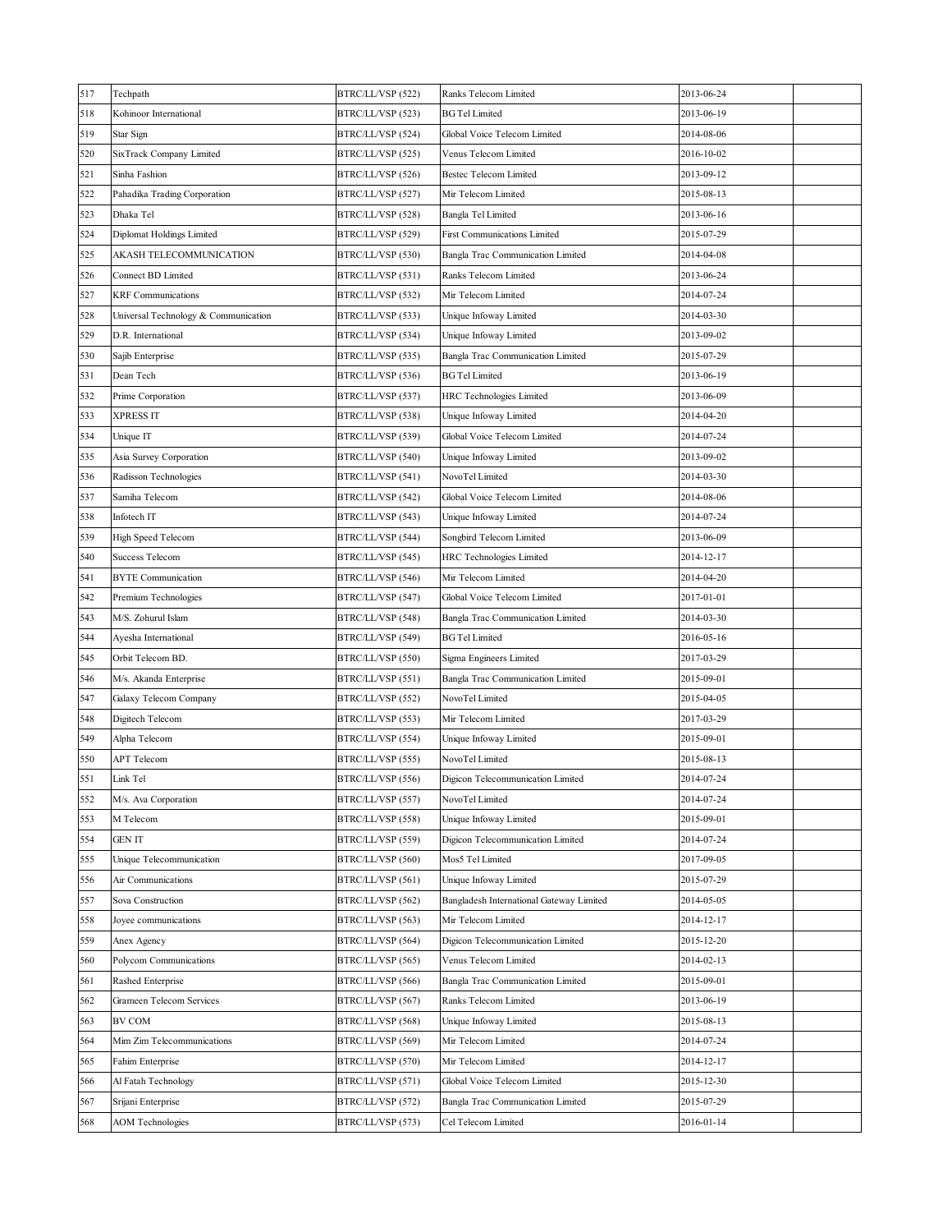| 517 | Techpath                             | BTRC/LL/VSP (522) | Ranks Telecom Limited                    | 2013-06-24 |  |
|-----|--------------------------------------|-------------------|------------------------------------------|------------|--|
| 518 | Kohinoor International               | BTRC/LL/VSP (523) | <b>BG Tel Limited</b>                    | 2013-06-19 |  |
| 519 | Star Sign                            | BTRC/LL/VSP (524) | Global Voice Telecom Limited             | 2014-08-06 |  |
| 520 | SixTrack Company Limited             | BTRC/LL/VSP (525) | Venus Telecom Limited                    | 2016-10-02 |  |
| 521 | Sinha Fashion                        | BTRC/LL/VSP (526) | <b>Bestec Telecom Limited</b>            | 2013-09-12 |  |
| 522 | Pahadika Trading Corporation         | BTRC/LL/VSP (527) | Mir Telecom Limited                      | 2015-08-13 |  |
| 523 | Dhaka Tel                            | BTRC/LL/VSP (528) | Bangla Tel Limited                       | 2013-06-16 |  |
| 524 | Diplomat Holdings Limited            | BTRC/LL/VSP (529) | <b>First Communications Limited</b>      | 2015-07-29 |  |
| 525 | AKASH TELECOMMUNICATION              | BTRC/LL/VSP (530) | Bangla Trac Communication Limited        | 2014-04-08 |  |
| 526 | Connect BD Limited                   | BTRC/LL/VSP (531) | Ranks Telecom Limited                    | 2013-06-24 |  |
| 527 | <b>KRF</b> Communications            | BTRC/LL/VSP (532) | Mir Telecom Limited                      | 2014-07-24 |  |
| 528 | Universal Technology & Communication | BTRC/LL/VSP (533) | Unique Infoway Limited                   | 2014-03-30 |  |
| 529 | D.R. International                   | BTRC/LL/VSP (534) | Unique Infoway Limited                   | 2013-09-02 |  |
| 530 | Sajib Enterprise                     | BTRC/LL/VSP (535) | Bangla Trac Communication Limited        | 2015-07-29 |  |
| 531 | Dean Tech                            | BTRC/LL/VSP (536) | <b>BG Tel Limited</b>                    | 2013-06-19 |  |
| 532 | Prime Corporation                    | BTRC/LL/VSP (537) | HRC Technologies Limited                 | 2013-06-09 |  |
| 533 | XPRESS IT                            | BTRC/LL/VSP (538) | Unique Infoway Limited                   | 2014-04-20 |  |
| 534 | Unique IT                            | BTRC/LL/VSP (539) | Global Voice Telecom Limited             | 2014-07-24 |  |
| 535 | Asia Survey Corporation              | BTRC/LL/VSP (540) | Unique Infoway Limited                   | 2013-09-02 |  |
| 536 | Radisson Technologies                | BTRC/LL/VSP (541) | NovoTel Limited                          | 2014-03-30 |  |
| 537 | Samiha Telecom                       | BTRC/LL/VSP (542) | Global Voice Telecom Limited             | 2014-08-06 |  |
| 538 | Infotech IT                          | BTRC/LL/VSP (543) | Unique Infoway Limited                   | 2014-07-24 |  |
| 539 | High Speed Telecom                   | BTRC/LL/VSP (544) | Songbird Telecom Limited                 | 2013-06-09 |  |
| 540 | <b>Success Telecom</b>               | BTRC/LL/VSP (545) | <b>HRC</b> Technologies Limited          | 2014-12-17 |  |
| 541 | <b>BYTE</b> Communication            | BTRC/LL/VSP (546) | Mir Telecom Limited                      | 2014-04-20 |  |
| 542 | Premium Technologies                 | BTRC/LL/VSP (547) | Global Voice Telecom Limited             | 2017-01-01 |  |
| 543 | M/S. Zohurul Islam                   | BTRC/LL/VSP (548) | Bangla Trac Communication Limited        | 2014-03-30 |  |
| 544 | Ayesha International                 | BTRC/LL/VSP (549) | <b>BG Tel Limited</b>                    | 2016-05-16 |  |
| 545 | Orbit Telecom BD.                    | BTRC/LL/VSP (550) | Sigma Engineers Limited                  | 2017-03-29 |  |
| 546 | M/s. Akanda Enterprise               | BTRC/LL/VSP (551) | Bangla Trac Communication Limited        | 2015-09-01 |  |
| 547 | Galaxy Telecom Company               | BTRC/LL/VSP (552) | NovoTel Limited                          | 2015-04-05 |  |
| 548 | Digitech Telecom                     | BTRC/LL/VSP (553) | Mir Telecom Limited                      | 2017-03-29 |  |
| 549 | Alpha Telecom                        | BTRC/LL/VSP (554) | Unique Infoway Limited                   | 2015-09-01 |  |
| 550 | APT Telecom                          | BTRC/LL/VSP (555) | NovoTel Limited                          | 2015-08-13 |  |
| 551 | Link Tel                             | BTRC/LL/VSP (556) | Digicon Telecommunication Limited        | 2014-07-24 |  |
| 552 | M/s. Ava Corporation                 | BTRC/LL/VSP (557) | NovoTel Limited                          | 2014-07-24 |  |
| 553 | M Telecom                            | BTRC/LL/VSP (558) | Unique Infoway Limited                   | 2015-09-01 |  |
| 554 | GEN IT                               | BTRC/LL/VSP (559) | Digicon Telecommunication Limited        | 2014-07-24 |  |
| 555 | Unique Telecommunication             | BTRC/LL/VSP (560) | Mos5 Tel Limited                         | 2017-09-05 |  |
| 556 | Air Communications                   | BTRC/LL/VSP (561) | Unique Infoway Limited                   | 2015-07-29 |  |
| 557 | Sova Construction                    | BTRC/LL/VSP (562) | Bangladesh International Gateway Limited | 2014-05-05 |  |
| 558 | Joyee communications                 | BTRC/LL/VSP (563) | Mir Telecom Limited                      | 2014-12-17 |  |
| 559 | Anex Agency                          | BTRC/LL/VSP (564) | Digicon Telecommunication Limited        | 2015-12-20 |  |
| 560 | Polycom Communications               | BTRC/LL/VSP (565) | Venus Telecom Limited                    | 2014-02-13 |  |
| 561 | Rashed Enterprise                    | BTRC/LL/VSP (566) | Bangla Trac Communication Limited        | 2015-09-01 |  |
| 562 | Grameen Telecom Services             | BTRC/LL/VSP (567) | Ranks Telecom Limited                    | 2013-06-19 |  |
| 563 | BV COM                               | BTRC/LL/VSP (568) | Unique Infoway Limited                   | 2015-08-13 |  |
| 564 | Mim Zim Telecommunications           | BTRC/LL/VSP (569) | Mir Telecom Limited                      | 2014-07-24 |  |
| 565 | Fahim Enterprise                     | BTRC/LL/VSP (570) | Mir Telecom Limited                      | 2014-12-17 |  |
| 566 | Al Fatah Technology                  | BTRC/LL/VSP (571) | Global Voice Telecom Limited             | 2015-12-30 |  |
| 567 | Srijani Enterprise                   | BTRC/LL/VSP (572) | Bangla Trac Communication Limited        | 2015-07-29 |  |
| 568 | <b>AOM</b> Technologies              | BTRC/LL/VSP (573) | Cel Telecom Limited                      | 2016-01-14 |  |
|     |                                      |                   |                                          |            |  |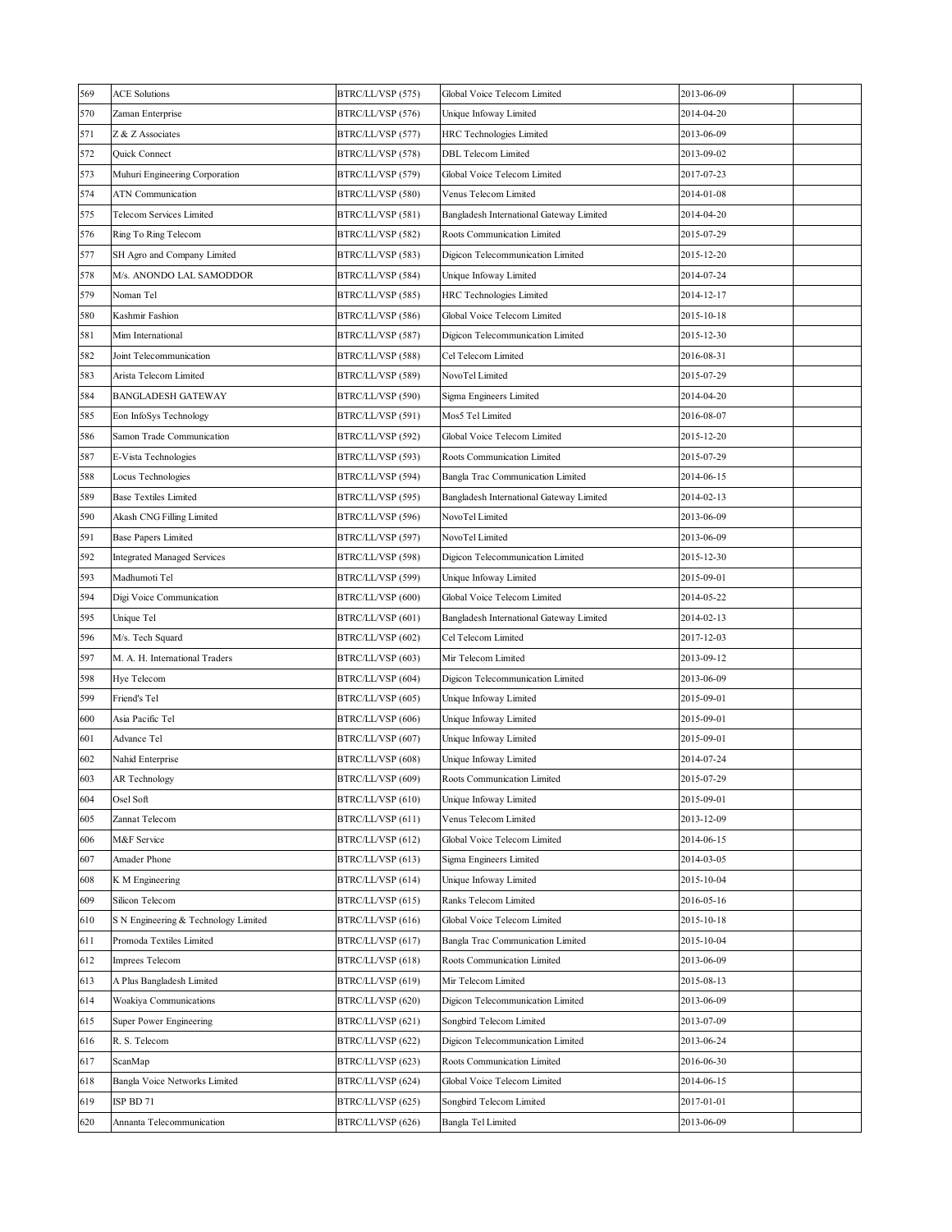| 569 | <b>ACE Solutions</b>                 | BTRC/LL/VSP (575) | Global Voice Telecom Limited             | 2013-06-09 |  |
|-----|--------------------------------------|-------------------|------------------------------------------|------------|--|
| 570 | Zaman Enterprise                     | BTRC/LL/VSP (576) | Unique Infoway Limited                   | 2014-04-20 |  |
| 571 | Z & Z Associates                     | BTRC/LL/VSP (577) | HRC Technologies Limited                 | 2013-06-09 |  |
| 572 | Quick Connect                        | BTRC/LL/VSP (578) | DBL Telecom Limited                      | 2013-09-02 |  |
| 573 | Muhuri Engineering Corporation       | BTRC/LL/VSP (579) | Global Voice Telecom Limited             | 2017-07-23 |  |
| 574 | ATN Communication                    | BTRC/LL/VSP (580) | Venus Telecom Limited                    | 2014-01-08 |  |
| 575 | Telecom Services Limited             | BTRC/LL/VSP (581) | Bangladesh International Gateway Limited | 2014-04-20 |  |
| 576 | Ring To Ring Telecom                 | BTRC/LL/VSP (582) | Roots Communication Limited              | 2015-07-29 |  |
| 577 | SH Agro and Company Limited          | BTRC/LL/VSP (583) | Digicon Telecommunication Limited        | 2015-12-20 |  |
| 578 | M/s. ANONDO LAL SAMODDOR             | BTRC/LL/VSP (584) | Unique Infoway Limited                   | 2014-07-24 |  |
| 579 | Noman Tel                            | BTRC/LL/VSP (585) | HRC Technologies Limited                 | 2014-12-17 |  |
| 580 | Kashmir Fashion                      | BTRC/LL/VSP (586) | Global Voice Telecom Limited             | 2015-10-18 |  |
| 581 | Mim International                    | BTRC/LL/VSP (587) | Digicon Telecommunication Limited        | 2015-12-30 |  |
| 582 | Joint Telecommunication              | BTRC/LL/VSP (588) | Cel Telecom Limited                      | 2016-08-31 |  |
| 583 | Arista Telecom Limited               | BTRC/LL/VSP (589) | NovoTel Limited                          | 2015-07-29 |  |
| 584 | <b>BANGLADESH GATEWAY</b>            | BTRC/LL/VSP (590) | Sigma Engineers Limited                  | 2014-04-20 |  |
| 585 | Eon InfoSys Technology               | BTRC/LL/VSP (591) | Mos5 Tel Limited                         | 2016-08-07 |  |
| 586 | Samon Trade Communication            | BTRC/LL/VSP (592) | Global Voice Telecom Limited             | 2015-12-20 |  |
| 587 | E-Vista Technologies                 | BTRC/LL/VSP (593) | Roots Communication Limited              | 2015-07-29 |  |
| 588 | Locus Technologies                   | BTRC/LL/VSP (594) | Bangla Trac Communication Limited        | 2014-06-15 |  |
| 589 | <b>Base Textiles Limited</b>         | BTRC/LL/VSP (595) | Bangladesh International Gateway Limited | 2014-02-13 |  |
| 590 | Akash CNG Filling Limited            | BTRC/LL/VSP (596) | NovoTel Limited                          | 2013-06-09 |  |
| 591 | <b>Base Papers Limited</b>           | BTRC/LL/VSP (597) | NovoTel Limited                          | 2013-06-09 |  |
| 592 | <b>Integrated Managed Services</b>   | BTRC/LL/VSP (598) | Digicon Telecommunication Limited        | 2015-12-30 |  |
| 593 | Madhumoti Tel                        | BTRC/LL/VSP (599) | Unique Infoway Limited                   | 2015-09-01 |  |
| 594 | Digi Voice Communication             | BTRC/LL/VSP (600) | Global Voice Telecom Limited             | 2014-05-22 |  |
| 595 | Unique Tel                           | BTRC/LL/VSP (601) | Bangladesh International Gateway Limited | 2014-02-13 |  |
| 596 | M/s. Tech Squard                     | BTRC/LL/VSP (602) | Cel Telecom Limited                      | 2017-12-03 |  |
| 597 | M. A. H. International Traders       | BTRC/LL/VSP (603) | Mir Telecom Limited                      | 2013-09-12 |  |
| 598 | Hye Telecom                          | BTRC/LL/VSP (604) | Digicon Telecommunication Limited        | 2013-06-09 |  |
| 599 | Friend's Tel                         | BTRC/LL/VSP (605) | Unique Infoway Limited                   | 2015-09-01 |  |
| 600 | Asia Pacific Tel                     | BTRC/LL/VSP (606) | Unique Infoway Limited                   | 2015-09-01 |  |
| 601 | Advance Tel                          | BTRC/LL/VSP (607) | Unique Infoway Limited                   | 2015-09-01 |  |
| 602 | Nahid Enterprise                     | BTRC/LL/VSP (608) | Unique Infoway Limited                   | 2014-07-24 |  |
| 603 | AR Technology                        | BTRC/LL/VSP (609) | Roots Communication Limited              | 2015-07-29 |  |
| 604 | Osel Soft                            | BTRC/LL/VSP (610) | Unique Infoway Limited                   | 2015-09-01 |  |
| 605 | Zannat Telecom                       | BTRC/LL/VSP (611) | Venus Telecom Limited                    | 2013-12-09 |  |
| 606 | M&F Service                          | BTRC/LL/VSP (612) | Global Voice Telecom Limited             | 2014-06-15 |  |
| 607 | Amader Phone                         | BTRC/LL/VSP (613) | Sigma Engineers Limited                  | 2014-03-05 |  |
| 608 | K M Engineering                      | BTRC/LL/VSP (614) | Unique Infoway Limited                   | 2015-10-04 |  |
| 609 | Silicon Telecom                      | BTRC/LL/VSP (615) | Ranks Telecom Limited                    | 2016-05-16 |  |
| 610 | S N Engineering & Technology Limited | BTRC/LL/VSP (616) | Global Voice Telecom Limited             | 2015-10-18 |  |
| 611 | Promoda Textiles Limited             | BTRC/LL/VSP (617) | Bangla Trac Communication Limited        | 2015-10-04 |  |
| 612 | Imprees Telecom                      | BTRC/LL/VSP (618) | Roots Communication Limited              | 2013-06-09 |  |
| 613 | A Plus Bangladesh Limited            | BTRC/LL/VSP (619) | Mir Telecom Limited                      | 2015-08-13 |  |
| 614 | Woakiya Communications               | BTRC/LL/VSP (620) | Digicon Telecommunication Limited        | 2013-06-09 |  |
| 615 | Super Power Engineering              | BTRC/LL/VSP (621) | Songbird Telecom Limited                 | 2013-07-09 |  |
| 616 | R. S. Telecom                        | BTRC/LL/VSP (622) | Digicon Telecommunication Limited        | 2013-06-24 |  |
| 617 | ScanMap                              | BTRC/LL/VSP (623) | Roots Communication Limited              | 2016-06-30 |  |
| 618 | Bangla Voice Networks Limited        | BTRC/LL/VSP (624) | Global Voice Telecom Limited             | 2014-06-15 |  |
| 619 | ISP BD 71                            | BTRC/LL/VSP (625) | Songbird Telecom Limited                 | 2017-01-01 |  |
| 620 | Annanta Telecommunication            | BTRC/LL/VSP (626) | Bangla Tel Limited                       | 2013-06-09 |  |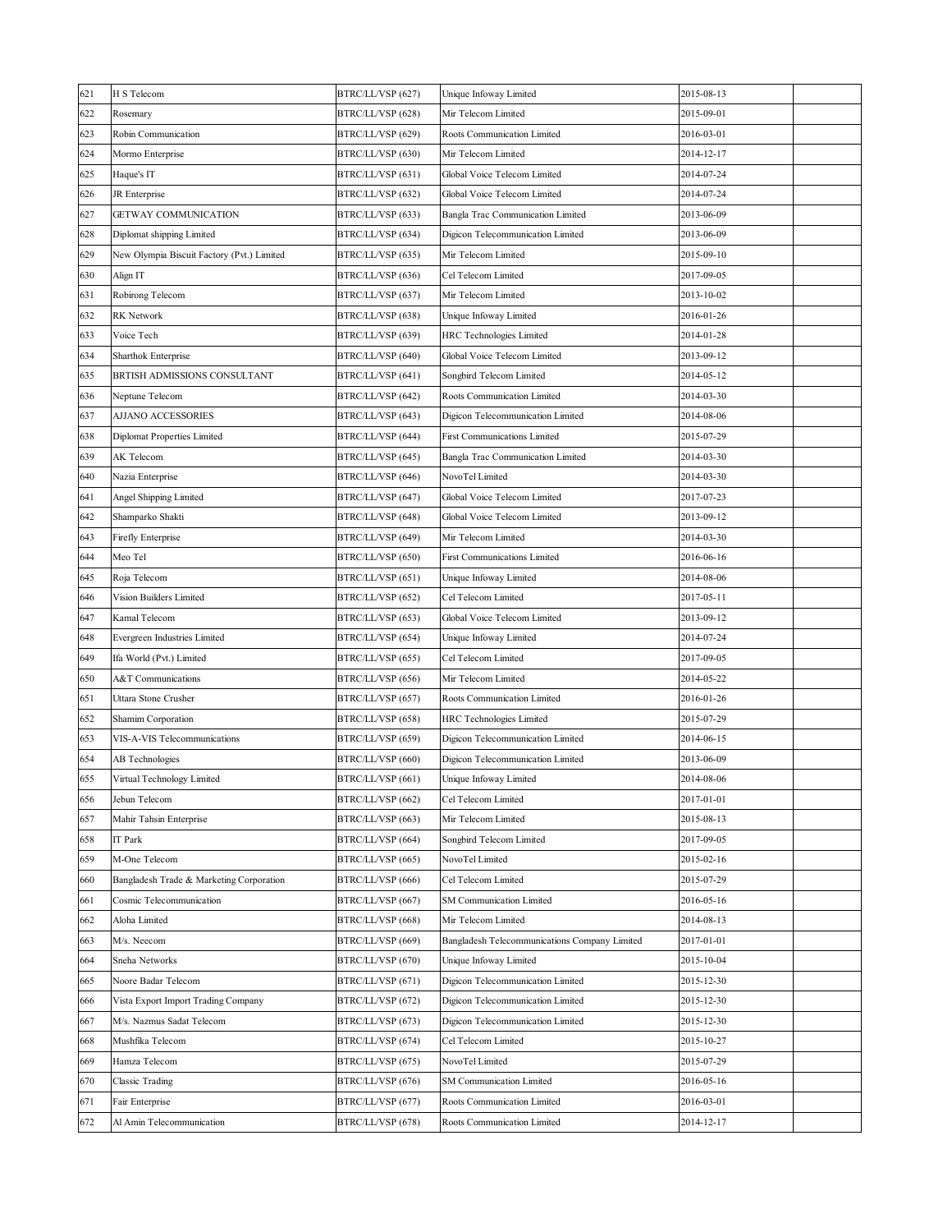| 621 | H S Telecom                                | BTRC/LL/VSP (627) | Unique Infoway Limited                        | 2015-08-13 |  |
|-----|--------------------------------------------|-------------------|-----------------------------------------------|------------|--|
| 622 | Rosemary                                   | BTRC/LL/VSP (628) | Mir Telecom Limited                           | 2015-09-01 |  |
| 623 | Robin Communication                        | BTRC/LL/VSP (629) | Roots Communication Limited                   | 2016-03-01 |  |
| 624 | Mormo Enterprise                           | BTRC/LL/VSP (630) | Mir Telecom Limited                           | 2014-12-17 |  |
| 625 | Haque's IT                                 | BTRC/LL/VSP (631) | Global Voice Telecom Limited                  | 2014-07-24 |  |
| 626 | JR Enterprise                              | BTRC/LL/VSP (632) | Global Voice Telecom Limited                  | 2014-07-24 |  |
| 627 | GETWAY COMMUNICATION                       | BTRC/LL/VSP (633) | Bangla Trac Communication Limited             | 2013-06-09 |  |
| 628 | Diplomat shipping Limited                  | BTRC/LL/VSP (634) | Digicon Telecommunication Limited             | 2013-06-09 |  |
| 629 | New Olympia Biscuit Factory (Pvt.) Limited | BTRC/LL/VSP (635) | Mir Telecom Limited                           | 2015-09-10 |  |
| 630 | Align IT                                   | BTRC/LL/VSP (636) | Cel Telecom Limited                           | 2017-09-05 |  |
| 631 | Robirong Telecom                           | BTRC/LL/VSP (637) | Mir Telecom Limited                           | 2013-10-02 |  |
| 632 | RK Network                                 | BTRC/LL/VSP (638) | Unique Infoway Limited                        | 2016-01-26 |  |
| 633 | Voice Tech                                 | BTRC/LL/VSP (639) | HRC Technologies Limited                      | 2014-01-28 |  |
| 634 | Sharthok Enterprise                        | BTRC/LL/VSP (640) | Global Voice Telecom Limited                  | 2013-09-12 |  |
| 635 | BRTISH ADMISSIONS CONSULTANT               | BTRC/LL/VSP (641) | Songbird Telecom Limited                      | 2014-05-12 |  |
| 636 | Neptune Telecom                            | BTRC/LL/VSP (642) | Roots Communication Limited                   | 2014-03-30 |  |
| 637 | AJJANO ACCESSORIES                         | BTRC/LL/VSP (643) | Digicon Telecommunication Limited             | 2014-08-06 |  |
| 638 | Diplomat Properties Limited                | BTRC/LL/VSP (644) | First Communications Limited                  | 2015-07-29 |  |
| 639 | AK Telecom                                 | BTRC/LL/VSP (645) | Bangla Trac Communication Limited             | 2014-03-30 |  |
| 640 | Nazia Enterprise                           | BTRC/LL/VSP (646) | NovoTel Limited                               | 2014-03-30 |  |
| 641 | Angel Shipping Limited                     | BTRC/LL/VSP (647) | Global Voice Telecom Limited                  | 2017-07-23 |  |
| 642 | Shamparko Shakti                           | BTRC/LL/VSP (648) | Global Voice Telecom Limited                  | 2013-09-12 |  |
| 643 | Firefly Enterprise                         | BTRC/LL/VSP (649) | Mir Telecom Limited                           | 2014-03-30 |  |
| 644 | Meo Tel                                    | BTRC/LL/VSP (650) | First Communications Limited                  | 2016-06-16 |  |
| 645 | Roja Telecom                               | BTRC/LL/VSP (651) | Unique Infoway Limited                        | 2014-08-06 |  |
| 646 | Vision Builders Limited                    | BTRC/LL/VSP (652) | Cel Telecom Limited                           | 2017-05-11 |  |
| 647 | Kamal Telecom                              | BTRC/LL/VSP (653) | Global Voice Telecom Limited                  | 2013-09-12 |  |
| 648 | Evergreen Industries Limited               | BTRC/LL/VSP (654) | Unique Infoway Limited                        | 2014-07-24 |  |
| 649 | Ifa World (Pvt.) Limited                   | BTRC/LL/VSP (655) | Cel Telecom Limited                           | 2017-09-05 |  |
| 650 | A&T Communications                         | BTRC/LL/VSP (656) | Mir Telecom Limited                           | 2014-05-22 |  |
| 651 | Uttara Stone Crusher                       | BTRC/LL/VSP (657) | Roots Communication Limited                   | 2016-01-26 |  |
| 652 | Shamim Corporation                         | BTRC/LL/VSP (658) | HRC Technologies Limited                      | 2015-07-29 |  |
| 653 | VIS-A-VIS Telecommunications               | BTRC/LL/VSP (659) | Digicon Telecommunication Limited             | 2014-06-15 |  |
| 654 | AB Technologies                            | BTRC/LL/VSP (660) | Digicon Telecommunication Limited             | 2013-06-09 |  |
| 655 | Virtual Technology Limited                 | BTRC/LL/VSP (661) | Unique Infoway Limited                        | 2014-08-06 |  |
| 656 | Jebun Telecom                              | BTRC/LL/VSP (662) | Cel Telecom Limited                           | 2017-01-01 |  |
| 657 | Mahir Tahsin Enterprise                    | BTRC/LL/VSP (663) | Mir Telecom Limited                           | 2015-08-13 |  |
| 658 | IT Park                                    | BTRC/LL/VSP (664) | Songbird Telecom Limited                      | 2017-09-05 |  |
| 659 | M-One Telecom                              | BTRC/LL/VSP (665) | NovoTel Limited                               | 2015-02-16 |  |
| 660 | Bangladesh Trade & Marketing Corporation   | BTRC/LL/VSP (666) | Cel Telecom Limited                           | 2015-07-29 |  |
| 661 | Cosmic Telecommunication                   | BTRC/LL/VSP (667) | SM Communication Limited                      | 2016-05-16 |  |
| 662 | Aloha Limited                              | BTRC/LL/VSP (668) | Mir Telecom Limited                           | 2014-08-13 |  |
| 663 | M/s. Neecom                                | BTRC/LL/VSP (669) | Bangladesh Telecommunications Company Limited | 2017-01-01 |  |
| 664 | Sneha Networks                             | BTRC/LL/VSP (670) | Unique Infoway Limited                        | 2015-10-04 |  |
| 665 | Noore Badar Telecom                        | BTRC/LL/VSP (671) | Digicon Telecommunication Limited             | 2015-12-30 |  |
| 666 | Vista Export Import Trading Company        | BTRC/LL/VSP (672) | Digicon Telecommunication Limited             | 2015-12-30 |  |
| 667 | M/s. Nazmus Sadat Telecom                  | BTRC/LL/VSP (673) | Digicon Telecommunication Limited             | 2015-12-30 |  |
| 668 | Mushfika Telecom                           | BTRC/LL/VSP (674) | Cel Telecom Limited                           | 2015-10-27 |  |
| 669 | Hamza Telecom                              | BTRC/LL/VSP (675) | NovoTel Limited                               | 2015-07-29 |  |
| 670 | Classic Trading                            | BTRC/LL/VSP (676) | SM Communication Limited                      | 2016-05-16 |  |
| 671 | Fair Enterprise                            | BTRC/LL/VSP (677) | Roots Communication Limited                   | 2016-03-01 |  |
| 672 | Al Amin Telecommunication                  | BTRC/LL/VSP (678) | Roots Communication Limited                   | 2014-12-17 |  |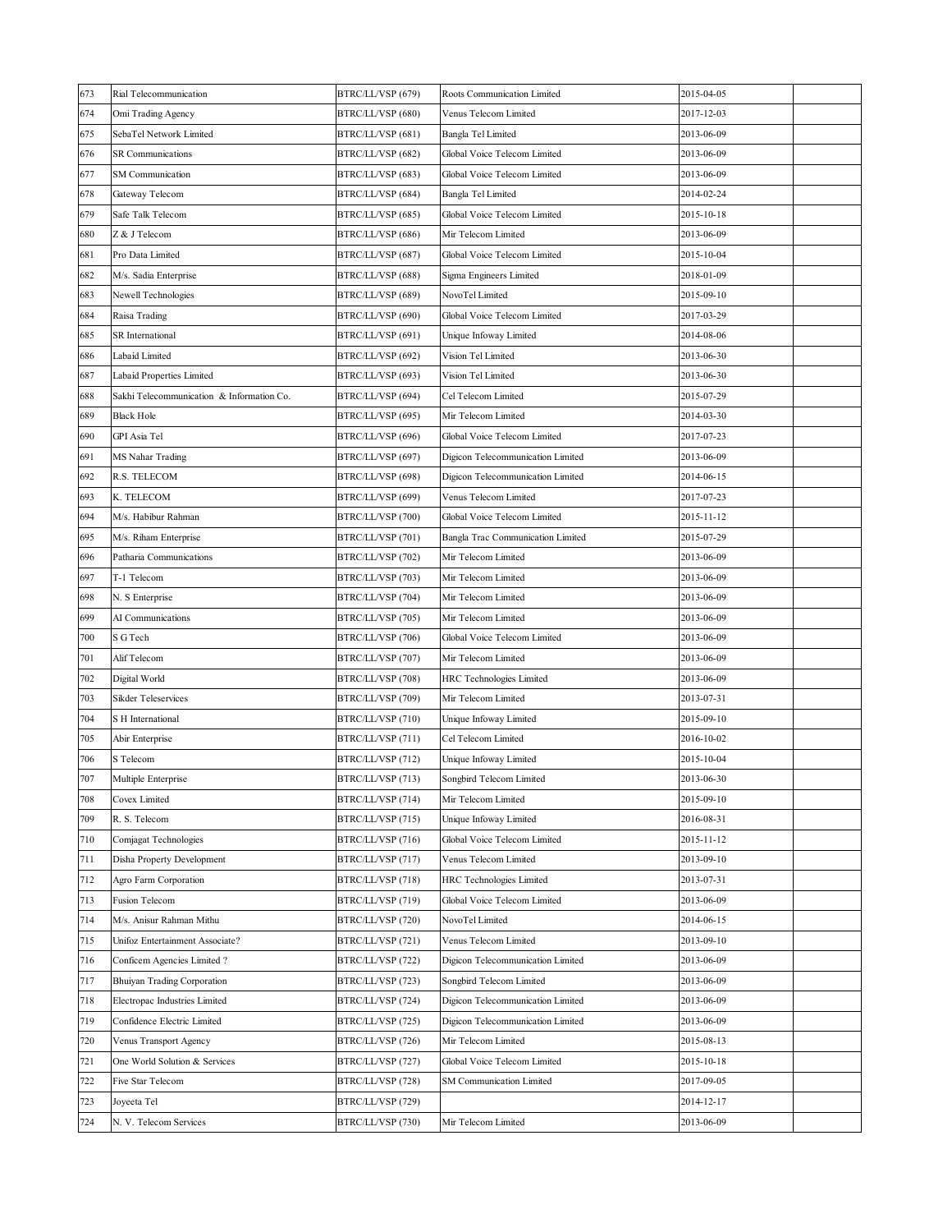| 673 | Rial Telecommunication                    | BTRC/LL/VSP (679) | Roots Communication Limited       | 2015-04-05 |  |
|-----|-------------------------------------------|-------------------|-----------------------------------|------------|--|
| 674 | Omi Trading Agency                        | BTRC/LL/VSP (680) | Venus Telecom Limited             | 2017-12-03 |  |
| 675 | SebaTel Network Limited                   | BTRC/LL/VSP (681) | Bangla Tel Limited                | 2013-06-09 |  |
| 676 | <b>SR</b> Communications                  | BTRC/LL/VSP (682) | Global Voice Telecom Limited      | 2013-06-09 |  |
| 677 | SM Communication                          | BTRC/LL/VSP (683) | Global Voice Telecom Limited      | 2013-06-09 |  |
| 678 | Gateway Telecom                           | BTRC/LL/VSP (684) | Bangla Tel Limited                | 2014-02-24 |  |
| 679 | Safe Talk Telecom                         | BTRC/LL/VSP (685) | Global Voice Telecom Limited      | 2015-10-18 |  |
| 680 | Z & J Telecom                             | BTRC/LL/VSP (686) | Mir Telecom Limited               | 2013-06-09 |  |
| 681 | Pro Data Limited                          | BTRC/LL/VSP (687) | Global Voice Telecom Limited      | 2015-10-04 |  |
| 682 | M/s. Sadia Enterprise                     | BTRC/LL/VSP (688) | Sigma Engineers Limited           | 2018-01-09 |  |
| 683 | Newell Technologies                       | BTRC/LL/VSP (689) | NovoTel Limited                   | 2015-09-10 |  |
| 684 | Raisa Trading                             | BTRC/LL/VSP (690) | Global Voice Telecom Limited      | 2017-03-29 |  |
| 685 | SR International                          | BTRC/LL/VSP (691) | Unique Infoway Limited            | 2014-08-06 |  |
| 686 | Labaid Limited                            | BTRC/LL/VSP (692) | Vision Tel Limited                | 2013-06-30 |  |
| 687 | Labaid Properties Limited                 | BTRC/LL/VSP (693) | Vision Tel Limited                | 2013-06-30 |  |
| 688 | Sakhi Telecommunication & Information Co. | BTRC/LL/VSP (694) | Cel Telecom Limited               | 2015-07-29 |  |
| 689 | <b>Black Hole</b>                         | BTRC/LL/VSP (695) | Mir Telecom Limited               | 2014-03-30 |  |
| 690 | GPI Asia Tel                              | BTRC/LL/VSP (696) | Global Voice Telecom Limited      | 2017-07-23 |  |
| 691 | MS Nahar Trading                          | BTRC/LL/VSP (697) | Digicon Telecommunication Limited | 2013-06-09 |  |
| 692 | R.S. TELECOM                              | BTRC/LL/VSP (698) | Digicon Telecommunication Limited | 2014-06-15 |  |
| 693 | K. TELECOM                                | BTRC/LL/VSP (699) | Venus Telecom Limited             | 2017-07-23 |  |
| 694 | M/s. Habibur Rahman                       | BTRC/LL/VSP (700) | Global Voice Telecom Limited      | 2015-11-12 |  |
| 695 | M/s. Riham Enterprise                     | BTRC/LL/VSP (701) | Bangla Trac Communication Limited | 2015-07-29 |  |
| 696 | Patharia Communications                   | BTRC/LL/VSP (702) | Mir Telecom Limited               | 2013-06-09 |  |
| 697 | T-1 Telecom                               | BTRC/LL/VSP (703) | Mir Telecom Limited               | 2013-06-09 |  |
| 698 | N. S Enterprise                           | BTRC/LL/VSP (704) | Mir Telecom Limited               | 2013-06-09 |  |
| 699 | AI Communications                         | BTRC/LL/VSP (705) | Mir Telecom Limited               | 2013-06-09 |  |
| 700 | S G Tech                                  | BTRC/LL/VSP (706) | Global Voice Telecom Limited      | 2013-06-09 |  |
| 701 | Alif Telecom                              | BTRC/LL/VSP (707) | Mir Telecom Limited               | 2013-06-09 |  |
| 702 | Digital World                             | BTRC/LL/VSP (708) | HRC Technologies Limited          | 2013-06-09 |  |
| 703 | Sikder Teleservices                       | BTRC/LL/VSP (709) | Mir Telecom Limited               | 2013-07-31 |  |
| 704 | S H International                         | BTRC/LL/VSP (710) | Unique Infoway Limited            | 2015-09-10 |  |
| 705 | Abir Enterprise                           | BTRC/LL/VSP (711) | Cel Telecom Limited               | 2016-10-02 |  |
| 706 | S Telecom                                 | BTRC/LL/VSP (712) | Unique Infoway Limited            | 2015-10-04 |  |
| 707 | Multiple Enterprise                       | BTRC/LL/VSP (713) | Songbird Telecom Limited          | 2013-06-30 |  |
| 708 | Covex Limited                             | BTRC/LL/VSP (714) | Mir Telecom Limited               | 2015-09-10 |  |
| 709 | R. S. Telecom                             | BTRC/LL/VSP (715) | Unique Infoway Limited            | 2016-08-31 |  |
| 710 | Comjagat Technologies                     | BTRC/LL/VSP (716) | Global Voice Telecom Limited      | 2015-11-12 |  |
| 711 | Disha Property Development                | BTRC/LL/VSP (717) | Venus Telecom Limited             | 2013-09-10 |  |
| 712 | Agro Farm Corporation                     | BTRC/LL/VSP (718) | HRC Technologies Limited          | 2013-07-31 |  |
| 713 | Fusion Telecom                            | BTRC/LL/VSP (719) | Global Voice Telecom Limited      | 2013-06-09 |  |
| 714 | M/s. Anisur Rahman Mithu                  | BTRC/LL/VSP (720) | NovoTel Limited                   | 2014-06-15 |  |
| 715 | Unifoz Entertainment Associate?           | BTRC/LL/VSP (721) | Venus Telecom Limited             | 2013-09-10 |  |
| 716 | Conficem Agencies Limited?                | BTRC/LL/VSP (722) | Digicon Telecommunication Limited | 2013-06-09 |  |
| 717 | Bhuiyan Trading Corporation               | BTRC/LL/VSP (723) | Songbird Telecom Limited          | 2013-06-09 |  |
| 718 | Electropac Industries Limited             | BTRC/LL/VSP (724) | Digicon Telecommunication Limited | 2013-06-09 |  |
| 719 | Confidence Electric Limited               | BTRC/LL/VSP (725) | Digicon Telecommunication Limited | 2013-06-09 |  |
| 720 | Venus Transport Agency                    | BTRC/LL/VSP (726) | Mir Telecom Limited               | 2015-08-13 |  |
| 721 | One World Solution & Services             | BTRC/LL/VSP (727) | Global Voice Telecom Limited      | 2015-10-18 |  |
| 722 | Five Star Telecom                         | BTRC/LL/VSP (728) | SM Communication Limited          | 2017-09-05 |  |
| 723 | Joyeeta Tel                               | BTRC/LL/VSP (729) |                                   | 2014-12-17 |  |
| 724 | N. V. Telecom Services                    | BTRC/LL/VSP (730) | Mir Telecom Limited               | 2013-06-09 |  |
|     |                                           |                   |                                   |            |  |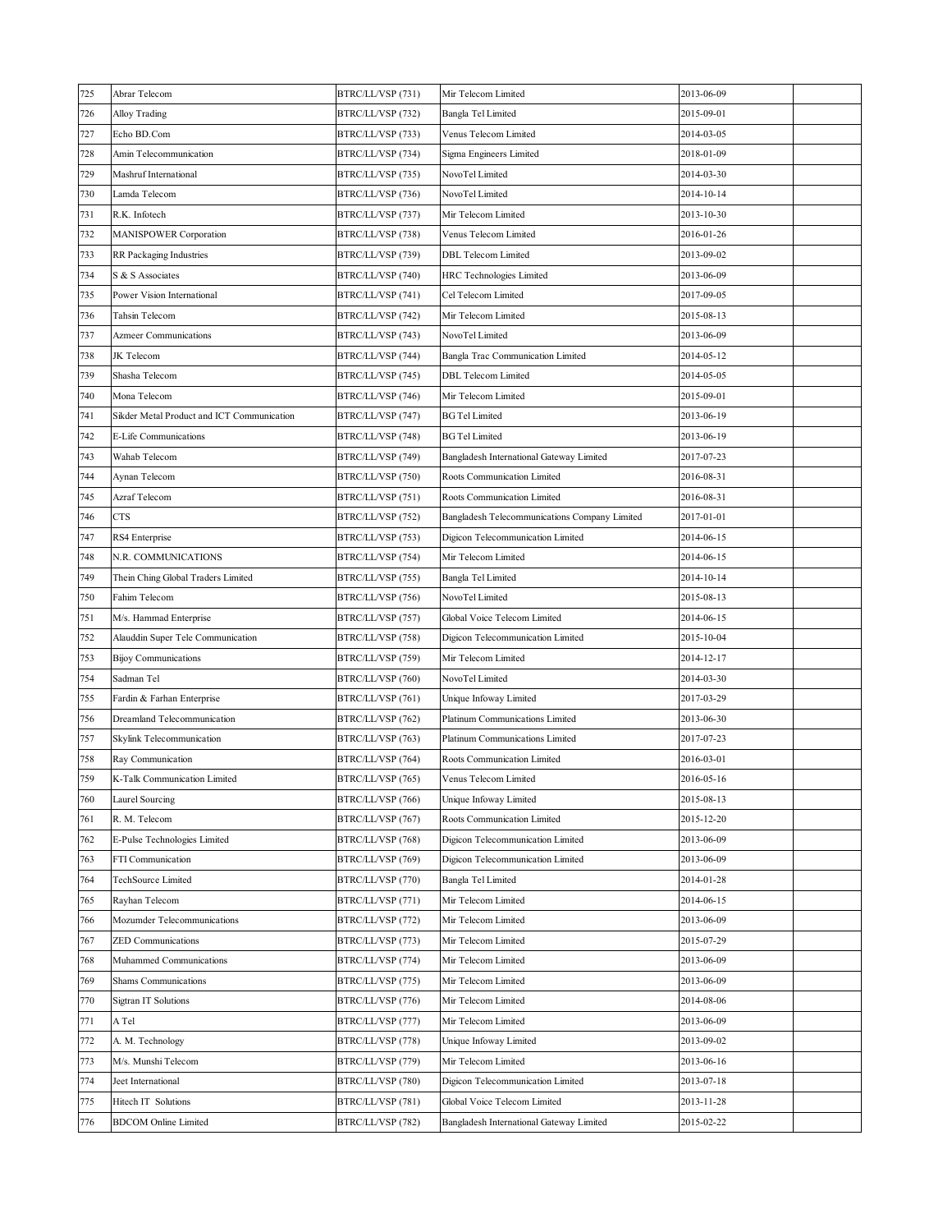| 725 | Abrar Telecom                              | BTRC/LL/VSP (731) | Mir Telecom Limited                           | 2013-06-09 |  |
|-----|--------------------------------------------|-------------------|-----------------------------------------------|------------|--|
| 726 | Alloy Trading                              | BTRC/LL/VSP (732) | Bangla Tel Limited                            | 2015-09-01 |  |
| 727 | Echo BD.Com                                | BTRC/LL/VSP (733) | Venus Telecom Limited                         | 2014-03-05 |  |
| 728 | Amin Telecommunication                     | BTRC/LL/VSP (734) | Sigma Engineers Limited                       | 2018-01-09 |  |
| 729 | Mashruf International                      | BTRC/LL/VSP (735) | NovoTel Limited                               | 2014-03-30 |  |
| 730 | Lamda Telecom                              | BTRC/LL/VSP (736) | NovoTel Limited                               | 2014-10-14 |  |
| 731 | R.K. Infotech                              | BTRC/LL/VSP (737) | Mir Telecom Limited                           | 2013-10-30 |  |
| 732 | <b>MANISPOWER Corporation</b>              | BTRC/LL/VSP (738) | Venus Telecom Limited                         | 2016-01-26 |  |
| 733 | RR Packaging Industries                    | BTRC/LL/VSP (739) | DBL Telecom Limited                           | 2013-09-02 |  |
| 734 | S & S Associates                           | BTRC/LL/VSP (740) | HRC Technologies Limited                      | 2013-06-09 |  |
| 735 | Power Vision International                 | BTRC/LL/VSP (741) | Cel Telecom Limited                           | 2017-09-05 |  |
| 736 | Tahsin Telecom                             | BTRC/LL/VSP (742) | Mir Telecom Limited                           | 2015-08-13 |  |
| 737 | <b>Azmeer Communications</b>               | BTRC/LL/VSP (743) | NovoTel Limited                               | 2013-06-09 |  |
| 738 | JK Telecom                                 | BTRC/LL/VSP (744) | Bangla Trac Communication Limited             | 2014-05-12 |  |
| 739 | Shasha Telecom                             | BTRC/LL/VSP (745) | <b>DBL</b> Telecom Limited                    | 2014-05-05 |  |
| 740 | Mona Telecom                               | BTRC/LL/VSP (746) | Mir Telecom Limited                           | 2015-09-01 |  |
| 741 | Sikder Metal Product and ICT Communication | BTRC/LL/VSP (747) | <b>BG Tel Limited</b>                         | 2013-06-19 |  |
| 742 | E-Life Communications                      | BTRC/LL/VSP (748) | <b>BG</b> Tel Limited                         | 2013-06-19 |  |
| 743 | Wahab Telecom                              | BTRC/LL/VSP (749) | Bangladesh International Gateway Limited      | 2017-07-23 |  |
| 744 | Aynan Telecom                              | BTRC/LL/VSP (750) | Roots Communication Limited                   | 2016-08-31 |  |
| 745 | Azraf Telecom                              | BTRC/LL/VSP (751) | Roots Communication Limited                   | 2016-08-31 |  |
| 746 | <b>CTS</b>                                 | BTRC/LL/VSP (752) | Bangladesh Telecommunications Company Limited | 2017-01-01 |  |
| 747 | RS4 Enterprise                             | BTRC/LL/VSP (753) | Digicon Telecommunication Limited             | 2014-06-15 |  |
| 748 | N.R. COMMUNICATIONS                        | BTRC/LL/VSP (754) | Mir Telecom Limited                           | 2014-06-15 |  |
| 749 | Thein Ching Global Traders Limited         | BTRC/LL/VSP (755) | Bangla Tel Limited                            | 2014-10-14 |  |
| 750 | Fahim Telecom                              | BTRC/LL/VSP (756) | NovoTel Limited                               | 2015-08-13 |  |
| 751 | M/s. Hammad Enterprise                     | BTRC/LL/VSP (757) | Global Voice Telecom Limited                  | 2014-06-15 |  |
| 752 | Alauddin Super Tele Communication          | BTRC/LL/VSP (758) | Digicon Telecommunication Limited             | 2015-10-04 |  |
| 753 | <b>Bijoy Communications</b>                | BTRC/LL/VSP (759) | Mir Telecom Limited                           | 2014-12-17 |  |
| 754 | Sadman Tel                                 | BTRC/LL/VSP (760) | NovoTel Limited                               | 2014-03-30 |  |
| 755 | Fardin & Farhan Enterprise                 | BTRC/LL/VSP (761) | Unique Infoway Limited                        | 2017-03-29 |  |
| 756 | Dreamland Telecommunication                | BTRC/LL/VSP (762) | Platinum Communications Limited               | 2013-06-30 |  |
| 757 | Skylink Telecommunication                  | BTRC/LL/VSP (763) | Platinum Communications Limited               | 2017-07-23 |  |
| 758 | Ray Communication                          | BTRC/LL/VSP (764) | Roots Communication Limited                   | 2016-03-01 |  |
| 759 | K-Talk Communication Limited               | BTRC/LL/VSP (765) | Venus Telecom Limited                         | 2016-05-16 |  |
| 760 | Laurel Sourcing                            | BTRC/LL/VSP (766) | Unique Infoway Limited                        | 2015-08-13 |  |
| 761 | R. M. Telecom                              | BTRC/LL/VSP (767) | Roots Communication Limited                   | 2015-12-20 |  |
| 762 | E-Pulse Technologies Limited               | BTRC/LL/VSP (768) | Digicon Telecommunication Limited             | 2013-06-09 |  |
| 763 | FTI Communication                          | BTRC/LL/VSP (769) | Digicon Telecommunication Limited             | 2013-06-09 |  |
| 764 | TechSource Limited                         | BTRC/LL/VSP (770) | Bangla Tel Limited                            | 2014-01-28 |  |
| 765 | Rayhan Telecom                             | BTRC/LL/VSP (771) | Mir Telecom Limited                           | 2014-06-15 |  |
| 766 | Mozumder Telecommunications                | BTRC/LL/VSP (772) | Mir Telecom Limited                           | 2013-06-09 |  |
| 767 | <b>ZED</b> Communications                  | BTRC/LL/VSP (773) | Mir Telecom Limited                           | 2015-07-29 |  |
| 768 | Muhammed Communications                    | BTRC/LL/VSP (774) | Mir Telecom Limited                           | 2013-06-09 |  |
| 769 | Shams Communications                       | BTRC/LL/VSP (775) | Mir Telecom Limited                           | 2013-06-09 |  |
| 770 | Sigtran IT Solutions                       | BTRC/LL/VSP (776) | Mir Telecom Limited                           | 2014-08-06 |  |
| 771 | A Tel                                      | BTRC/LL/VSP (777) | Mir Telecom Limited                           | 2013-06-09 |  |
| 772 | A. M. Technology                           | BTRC/LL/VSP (778) | Unique Infoway Limited                        | 2013-09-02 |  |
| 773 | M/s. Munshi Telecom                        | BTRC/LL/VSP (779) | Mir Telecom Limited                           | 2013-06-16 |  |
| 774 | Jeet International                         | BTRC/LL/VSP (780) | Digicon Telecommunication Limited             | 2013-07-18 |  |
| 775 | Hitech IT Solutions                        | BTRC/LL/VSP (781) | Global Voice Telecom Limited                  | 2013-11-28 |  |
| 776 | <b>BDCOM</b> Online Limited                | BTRC/LL/VSP (782) | Bangladesh International Gateway Limited      | 2015-02-22 |  |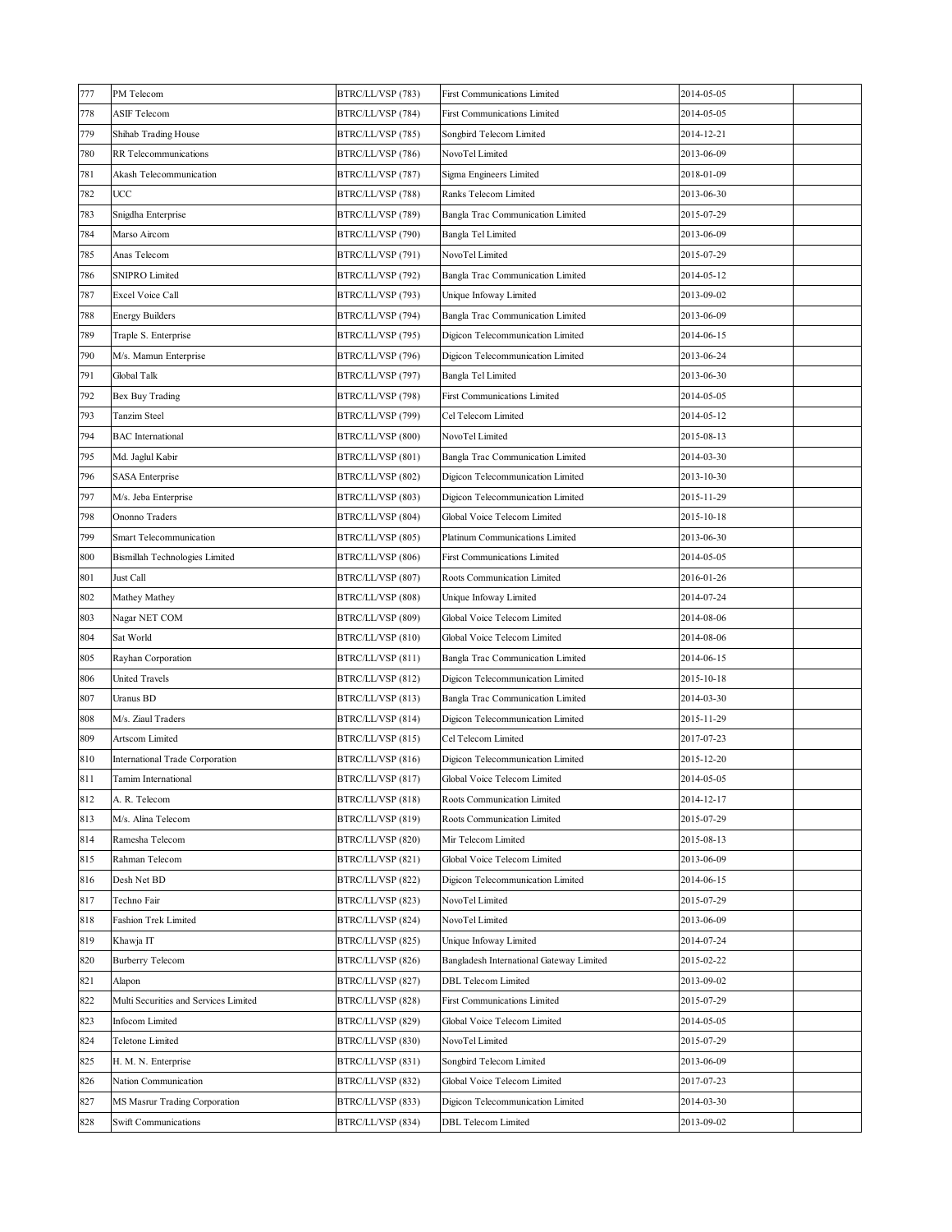| 777 | PM Telecom                            | BTRC/LL/VSP (783) | <b>First Communications Limited</b>      | 2014-05-05 |  |
|-----|---------------------------------------|-------------------|------------------------------------------|------------|--|
| 778 | ASIF Telecom                          | BTRC/LL/VSP (784) | <b>First Communications Limited</b>      | 2014-05-05 |  |
| 779 | Shihab Trading House                  | BTRC/LL/VSP (785) | Songbird Telecom Limited                 | 2014-12-21 |  |
| 780 | RR Telecommunications                 | BTRC/LL/VSP (786) | NovoTel Limited                          | 2013-06-09 |  |
| 781 | Akash Telecommunication               | BTRC/LL/VSP (787) | Sigma Engineers Limited                  | 2018-01-09 |  |
| 782 | UCC                                   | BTRC/LL/VSP (788) | Ranks Telecom Limited                    | 2013-06-30 |  |
| 783 | Snigdha Enterprise                    | BTRC/LL/VSP (789) | Bangla Trac Communication Limited        | 2015-07-29 |  |
| 784 | Marso Aircom                          | BTRC/LL/VSP (790) | Bangla Tel Limited                       | 2013-06-09 |  |
| 785 | Anas Telecom                          | BTRC/LL/VSP (791) | NovoTel Limited                          | 2015-07-29 |  |
| 786 | <b>SNIPRO Limited</b>                 | BTRC/LL/VSP (792) | Bangla Trac Communication Limited        | 2014-05-12 |  |
| 787 | Excel Voice Call                      | BTRC/LL/VSP (793) | Unique Infoway Limited                   | 2013-09-02 |  |
| 788 | <b>Energy Builders</b>                | BTRC/LL/VSP (794) | Bangla Trac Communication Limited        | 2013-06-09 |  |
| 789 | Traple S. Enterprise                  | BTRC/LL/VSP (795) | Digicon Telecommunication Limited        | 2014-06-15 |  |
| 790 | M/s. Mamun Enterprise                 | BTRC/LL/VSP (796) | Digicon Telecommunication Limited        | 2013-06-24 |  |
| 791 | Global Talk                           | BTRC/LL/VSP (797) | Bangla Tel Limited                       | 2013-06-30 |  |
| 792 | Bex Buy Trading                       | BTRC/LL/VSP (798) | <b>First Communications Limited</b>      | 2014-05-05 |  |
| 793 | Tanzim Steel                          | BTRC/LL/VSP (799) | Cel Telecom Limited                      | 2014-05-12 |  |
| 794 | <b>BAC</b> International              | BTRC/LL/VSP (800) | NovoTel Limited                          | 2015-08-13 |  |
| 795 | Md. Jaglul Kabir                      | BTRC/LL/VSP (801) | Bangla Trac Communication Limited        | 2014-03-30 |  |
| 796 | <b>SASA</b> Enterprise                | BTRC/LL/VSP (802) | Digicon Telecommunication Limited        | 2013-10-30 |  |
| 797 | M/s. Jeba Enterprise                  | BTRC/LL/VSP (803) | Digicon Telecommunication Limited        | 2015-11-29 |  |
| 798 | Ononno Traders                        | BTRC/LL/VSP (804) | Global Voice Telecom Limited             | 2015-10-18 |  |
| 799 | Smart Telecommunication               | BTRC/LL/VSP (805) | Platinum Communications Limited          | 2013-06-30 |  |
| 800 | Bismillah Technologies Limited        | BTRC/LL/VSP (806) | <b>First Communications Limited</b>      | 2014-05-05 |  |
| 801 | Just Call                             | BTRC/LL/VSP (807) | Roots Communication Limited              | 2016-01-26 |  |
| 802 | Mathey Mathey                         | BTRC/LL/VSP (808) | Unique Infoway Limited                   | 2014-07-24 |  |
| 803 | Nagar NET COM                         | BTRC/LL/VSP (809) | Global Voice Telecom Limited             | 2014-08-06 |  |
| 804 | Sat World                             | BTRC/LL/VSP (810) | Global Voice Telecom Limited             | 2014-08-06 |  |
| 805 | Rayhan Corporation                    | BTRC/LL/VSP (811) | Bangla Trac Communication Limited        | 2014-06-15 |  |
| 806 | <b>United Travels</b>                 | BTRC/LL/VSP (812) | Digicon Telecommunication Limited        | 2015-10-18 |  |
| 807 | Uranus BD                             | BTRC/LL/VSP (813) | Bangla Trac Communication Limited        | 2014-03-30 |  |
| 808 | M/s. Ziaul Traders                    | BTRC/LL/VSP (814) | Digicon Telecommunication Limited        | 2015-11-29 |  |
| 809 | Artscom Limited                       | BTRC/LL/VSP (815) | Cel Telecom Limited                      | 2017-07-23 |  |
| 810 | International Trade Corporation       | BTRC/LL/VSP (816) | Digicon Telecommunication Limited        | 2015-12-20 |  |
| 811 | Tamim International                   | BTRC/LL/VSP (817) | Global Voice Telecom Limited             | 2014-05-05 |  |
| 812 | A. R. Telecom                         | BTRC/LL/VSP (818) | Roots Communication Limited              | 2014-12-17 |  |
| 813 | M/s. Alina Telecom                    | BTRC/LL/VSP (819) | Roots Communication Limited              | 2015-07-29 |  |
| 814 | Ramesha Telecom                       | BTRC/LL/VSP (820) | Mir Telecom Limited                      | 2015-08-13 |  |
| 815 | Rahman Telecom                        | BTRC/LL/VSP (821) | Global Voice Telecom Limited             | 2013-06-09 |  |
| 816 | Desh Net BD                           | BTRC/LL/VSP (822) | Digicon Telecommunication Limited        | 2014-06-15 |  |
| 817 | Techno Fair                           | BTRC/LL/VSP (823) | NovoTel Limited                          | 2015-07-29 |  |
| 818 | Fashion Trek Limited                  | BTRC/LL/VSP (824) | NovoTel Limited                          | 2013-06-09 |  |
| 819 | Khawja IT                             | BTRC/LL/VSP (825) | Unique Infoway Limited                   | 2014-07-24 |  |
| 820 | <b>Burberry Telecom</b>               | BTRC/LL/VSP (826) | Bangladesh International Gateway Limited | 2015-02-22 |  |
| 821 | Alapon                                | BTRC/LL/VSP (827) | DBL Telecom Limited                      | 2013-09-02 |  |
| 822 | Multi Securities and Services Limited | BTRC/LL/VSP (828) | <b>First Communications Limited</b>      | 2015-07-29 |  |
| 823 | Infocom Limited                       | BTRC/LL/VSP (829) | Global Voice Telecom Limited             | 2014-05-05 |  |
| 824 | Teletone Limited                      | BTRC/LL/VSP (830) | NovoTel Limited                          | 2015-07-29 |  |
| 825 | H. M. N. Enterprise                   | BTRC/LL/VSP (831) | Songbird Telecom Limited                 | 2013-06-09 |  |
| 826 | Nation Communication                  | BTRC/LL/VSP (832) | Global Voice Telecom Limited             | 2017-07-23 |  |
| 827 | MS Masrur Trading Corporation         | BTRC/LL/VSP (833) | Digicon Telecommunication Limited        | 2014-03-30 |  |
| 828 | <b>Swift Communications</b>           | BTRC/LL/VSP (834) | <b>DBL</b> Telecom Limited               | 2013-09-02 |  |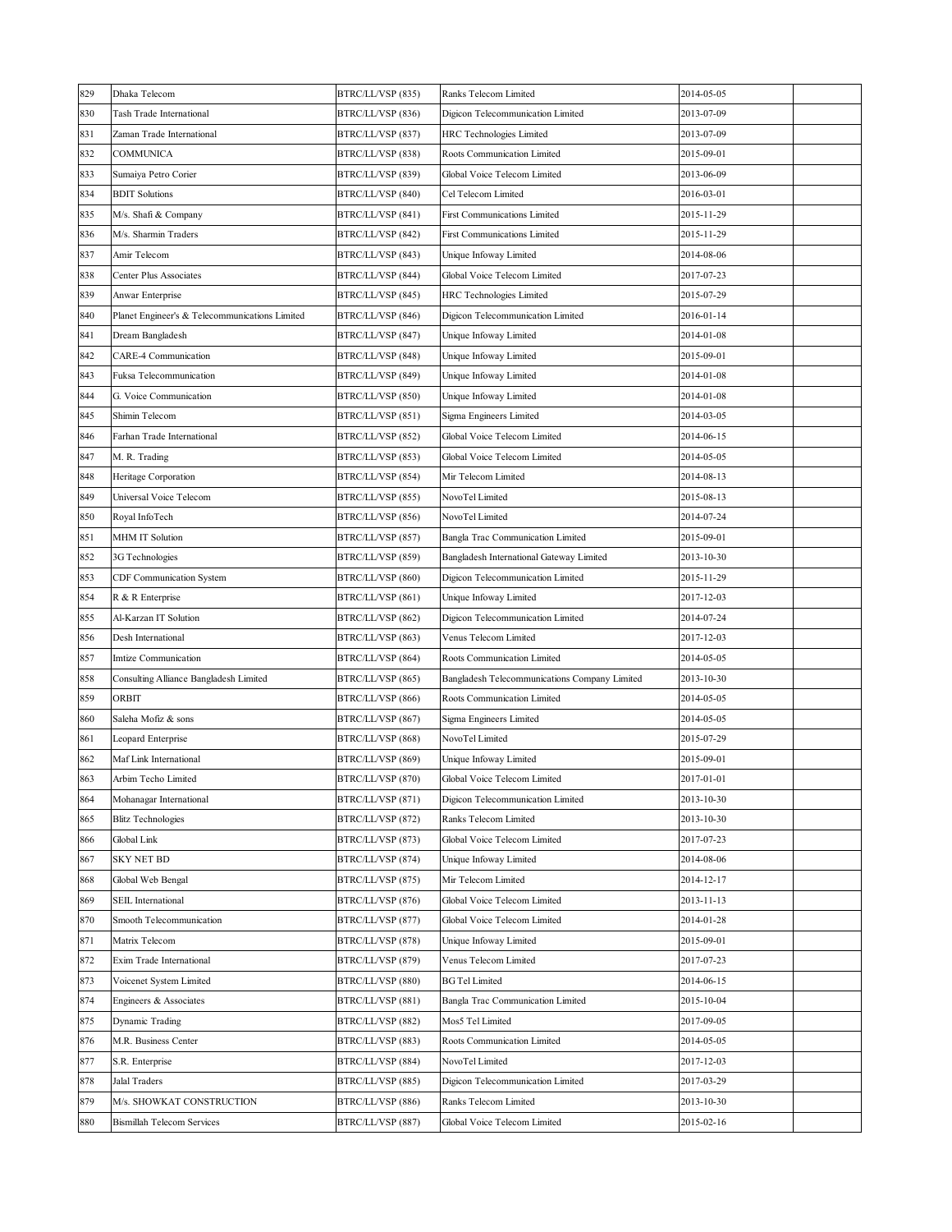| 829 | Dhaka Telecom                                  | BTRC/LL/VSP (835) | Ranks Telecom Limited                         | 2014-05-05 |  |
|-----|------------------------------------------------|-------------------|-----------------------------------------------|------------|--|
| 830 | Tash Trade International                       | BTRC/LL/VSP (836) | Digicon Telecommunication Limited             | 2013-07-09 |  |
| 831 | Zaman Trade International                      | BTRC/LL/VSP (837) | HRC Technologies Limited                      | 2013-07-09 |  |
| 832 | COMMUNICA                                      | BTRC/LL/VSP (838) | Roots Communication Limited                   | 2015-09-01 |  |
| 833 | Sumaiya Petro Corier                           | BTRC/LL/VSP (839) | Global Voice Telecom Limited                  | 2013-06-09 |  |
| 834 | <b>BDIT Solutions</b>                          | BTRC/LL/VSP (840) | Cel Telecom Limited                           | 2016-03-01 |  |
| 835 | M/s. Shafi & Company                           | BTRC/LL/VSP (841) | <b>First Communications Limited</b>           | 2015-11-29 |  |
| 836 | M/s. Sharmin Traders                           | BTRC/LL/VSP (842) | <b>First Communications Limited</b>           | 2015-11-29 |  |
| 837 | Amir Telecom                                   | BTRC/LL/VSP (843) | Unique Infoway Limited                        | 2014-08-06 |  |
| 838 | Center Plus Associates                         | BTRC/LL/VSP (844) | Global Voice Telecom Limited                  | 2017-07-23 |  |
| 839 | Anwar Enterprise                               | BTRC/LL/VSP (845) | HRC Technologies Limited                      | 2015-07-29 |  |
| 840 | Planet Engineer's & Telecommunications Limited | BTRC/LL/VSP (846) | Digicon Telecommunication Limited             | 2016-01-14 |  |
| 841 | Dream Bangladesh                               | BTRC/LL/VSP (847) | Unique Infoway Limited                        | 2014-01-08 |  |
| 842 | CARE-4 Communication                           | BTRC/LL/VSP (848) | Unique Infoway Limited                        | 2015-09-01 |  |
| 843 | Fuksa Telecommunication                        | BTRC/LL/VSP (849) | Unique Infoway Limited                        | 2014-01-08 |  |
| 844 | G. Voice Communication                         | BTRC/LL/VSP (850) | Unique Infoway Limited                        | 2014-01-08 |  |
| 845 | Shimin Telecom                                 | BTRC/LL/VSP (851) | Sigma Engineers Limited                       | 2014-03-05 |  |
| 846 | Farhan Trade International                     | BTRC/LL/VSP (852) | Global Voice Telecom Limited                  | 2014-06-15 |  |
| 847 | M. R. Trading                                  | BTRC/LL/VSP (853) | Global Voice Telecom Limited                  | 2014-05-05 |  |
| 848 | Heritage Corporation                           | BTRC/LL/VSP (854) | Mir Telecom Limited                           | 2014-08-13 |  |
| 849 | Universal Voice Telecom                        | BTRC/LL/VSP (855) | NovoTel Limited                               | 2015-08-13 |  |
| 850 | Royal InfoTech                                 | BTRC/LL/VSP (856) | NovoTel Limited                               | 2014-07-24 |  |
| 851 | <b>MHM IT Solution</b>                         | BTRC/LL/VSP (857) | Bangla Trac Communication Limited             | 2015-09-01 |  |
| 852 | 3G Technologies                                | BTRC/LL/VSP (859) | Bangladesh International Gateway Limited      | 2013-10-30 |  |
| 853 | <b>CDF Communication System</b>                | BTRC/LL/VSP (860) | Digicon Telecommunication Limited             | 2015-11-29 |  |
| 854 | R & R Enterprise                               | BTRC/LL/VSP (861) | Unique Infoway Limited                        | 2017-12-03 |  |
| 855 | Al-Karzan IT Solution                          | BTRC/LL/VSP (862) | Digicon Telecommunication Limited             | 2014-07-24 |  |
| 856 | Desh International                             | BTRC/LL/VSP (863) | Venus Telecom Limited                         | 2017-12-03 |  |
| 857 | Imtize Communication                           | BTRC/LL/VSP (864) | Roots Communication Limited                   | 2014-05-05 |  |
| 858 | Consulting Alliance Bangladesh Limited         | BTRC/LL/VSP (865) | Bangladesh Telecommunications Company Limited | 2013-10-30 |  |
| 859 | ORBIT                                          | BTRC/LL/VSP (866) | Roots Communication Limited                   | 2014-05-05 |  |
| 860 | Saleha Mofiz & sons                            | BTRC/LL/VSP (867) | Sigma Engineers Limited                       | 2014-05-05 |  |
| 861 | Leopard Enterprise                             | BTRC/LL/VSP (868) | NovoTel Limited                               | 2015-07-29 |  |
| 862 | Maf Link International                         | BTRC/LL/VSP (869) | Unique Infoway Limited                        | 2015-09-01 |  |
| 863 | Arbim Techo Limited                            | BTRC/LL/VSP (870) | Global Voice Telecom Limited                  | 2017-01-01 |  |
| 864 | Mohanagar International                        | BTRC/LL/VSP (871) | Digicon Telecommunication Limited             | 2013-10-30 |  |
| 865 | <b>Blitz Technologies</b>                      | BTRC/LL/VSP (872) | Ranks Telecom Limited                         | 2013-10-30 |  |
| 866 | Global Link                                    | BTRC/LL/VSP (873) | Global Voice Telecom Limited                  | 2017-07-23 |  |
| 867 | SKY NET BD                                     | BTRC/LL/VSP (874) | Unique Infoway Limited                        | 2014-08-06 |  |
| 868 | Global Web Bengal                              | BTRC/LL/VSP (875) | Mir Telecom Limited                           | 2014-12-17 |  |
| 869 | SEIL International                             | BTRC/LL/VSP (876) | Global Voice Telecom Limited                  | 2013-11-13 |  |
| 870 | Smooth Telecommunication                       | BTRC/LL/VSP (877) | Global Voice Telecom Limited                  | 2014-01-28 |  |
| 871 | Matrix Telecom                                 | BTRC/LL/VSP (878) | Unique Infoway Limited                        | 2015-09-01 |  |
| 872 | Exim Trade International                       | BTRC/LL/VSP (879) | Venus Telecom Limited                         | 2017-07-23 |  |
| 873 | Voicenet System Limited                        | BTRC/LL/VSP (880) | <b>BG</b> Tel Limited                         | 2014-06-15 |  |
| 874 | Engineers & Associates                         | BTRC/LL/VSP (881) | Bangla Trac Communication Limited             | 2015-10-04 |  |
| 875 | Dynamic Trading                                | BTRC/LL/VSP (882) | Mos5 Tel Limited                              | 2017-09-05 |  |
| 876 | M.R. Business Center                           | BTRC/LL/VSP (883) | Roots Communication Limited                   | 2014-05-05 |  |
| 877 | S.R. Enterprise                                | BTRC/LL/VSP (884) | NovoTel Limited                               | 2017-12-03 |  |
| 878 | Jalal Traders                                  | BTRC/LL/VSP (885) | Digicon Telecommunication Limited             | 2017-03-29 |  |
| 879 | M/s. SHOWKAT CONSTRUCTION                      | BTRC/LL/VSP (886) | Ranks Telecom Limited                         | 2013-10-30 |  |
| 880 | <b>Bismillah Telecom Services</b>              | BTRC/LL/VSP (887) | Global Voice Telecom Limited                  | 2015-02-16 |  |